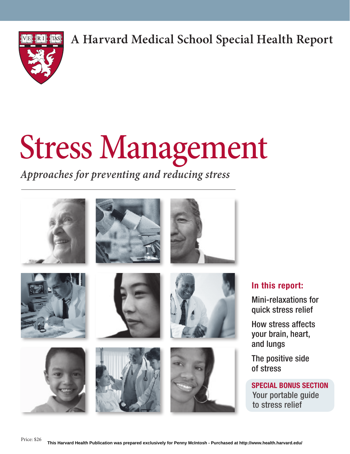**A Harvard Medical School Special Health Report**



# Stress Management

*Approaches for preventing and reducing stress*



# In this report:

Mini-relaxations for quick stress relief

How stress affects your brain, heart, and lungs

The positive side of stress

Special Bonus Section Your portable guide to stress relief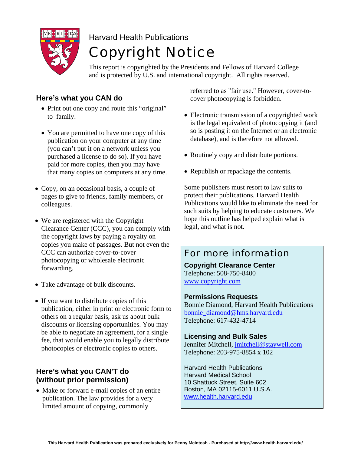

Harvard Health Publications Copyright Notice

This report is copyrighted by the Presidents and Fellows of Harvard College and is protected by U.S. and international copyright. All rights reserved.

## **Here's what you CAN do**

- Print out one copy and route this "original" to family.
- You are permitted to have one copy of this publication on your computer at any time (you can't put it on a network unless you purchased a license to do so). If you have paid for more copies, then you may have that many copies on computers at any time.
- Copy, on an occasional basis, a couple of pages to give to friends, family members, or colleagues.
- We are registered with the Copyright Clearance Center (CCC), you can comply with the copyright laws by paying a royalty on copies you make of passages. But not even the CCC can authorize cover-to-cover photocopying or wholesale electronic forwarding.
- Take advantage of bulk discounts.
- If you want to distribute copies of this publication, either in print or electronic form to others on a regular basis, ask us about bulk discounts or licensing opportunities. You may be able to negotiate an agreement, for a single fee, that would enable you to legally distribute photocopies or electronic copies to others.

## **Here's what you CAN'T do (without prior permission)**

• Make or forward e-mail copies of an entire publication. The law provides for a very limited amount of copying, commonly

referred to as "fair use." However, cover-tocover photocopying is forbidden.

- Electronic transmission of a copyrighted work is the legal equivalent of photocopying it (and so is posting it on the Internet or an electronic database), and is therefore not allowed.
- Routinely copy and distribute portions.
- Republish or repackage the contents.

Some publishers must resort to law suits to protect their publications. Harvard Health Publications would like to eliminate the need for such suits by helping to educate customers. We hope this outline has helped explain what is legal, and what is not.

# For more information

**Copyright Clearance Center**  Telephone: 508-750-8400 www.copyright.com

#### **Permissions Requests**

Bonnie Diamond, Harvard Health Publications bonnie\_diamond@hms.harvard.edu Telephone: 617-432-4714

#### **Licensing and Bulk Sales**

Jennifer Mitchell, jmitchell@staywell.com Telephone: 203-975-8854 x 102

Harvard Health Publications Harvard Medical School 10 Shattuck Street, Suite 602 Boston, MA 02115-6011 U.S.A. www.health.harvard.edu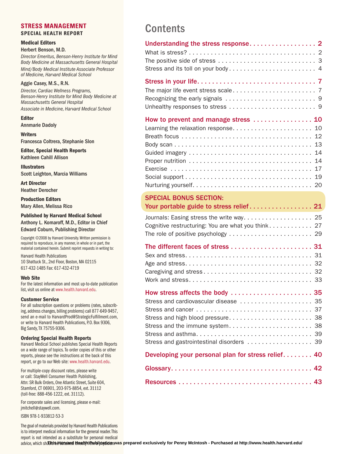## **Stress ManagEment**

#### **SPECIAL HEALTH REPORT**

#### Medical Editors

#### Herbert Benson, M.D.

*Director Emeritus, Benson-Henry Institute for Mind Body Medicine at Massachusetts General Hospital Mind/Body Medical Institute Associate Professor of Medicine, Harvard Medical School* 

#### Aggie Casey, M.S., R.N.

*Director, Cardiac Wellness Programs, Benson-Henry Institute for Mind Body Medicine at Massachusetts General Hospital Associate in Medicine, Harvard Medical School*

Editor

Annmarie Dadoly

**Writers** Francesca Coltrera, Stephanie Slon

Editor, Special Health Reports Kathleen Cahill Allison

**Illustrators** Scott Leighton, Marcia Williams

Art Director Heather Derocher

Production Editors Mary Allen, Melissa Rico

Published by Harvard Medical School Anthony L. Komaroff, M.D., Editor in Chief Edward Coburn, Publishing Director

Copyright ©2008 by Harvard University. Written permission is required to reproduce, in any manner, in whole or in part, the material contained herein. Submit reprint requests in writing to:

Harvard Health Publications 10 Shattuck St., 2nd Floor, Boston, MA 02115 617-432-1485 Fax: 617-432-4719

#### Web Site

For the latest information and most up-to-date publication list, visit us online at www.health.harvard.edu.

#### Customer Service

For all subscription questions or problems (rates, subscribing, address changes, billing problems) call 877-649-9457, send an e-mail to HarvardProd@StrategicFulfillment.com, or write to Harvard Health Publications, P.O. Box 9306, Big Sandy, TX 75755-9306.

#### Ordering Special Health Reports

Harvard Medical School publishes Special Health Reports on a wide range of topics. To order copies of this or other reports, please see the instructions at the back of this report, or go to our Web site: www.health.harvard.edu.

For multiple-copy discount rates, please write or call: StayWell Consumer Health Publishing, Attn: SR Bulk Orders, One Atlantic Street, Suite 604, Stamford, CT 06901, 203-975-8854, ext. 31112 (toll-free: 888-456-1222, ext. 31112).

For corporate sales and licensing, please e-mail: jmitchell@staywell.com.

ISBN 978-1-933812-53-3

The goal of materials provided by Harvard Health Publications is to interpret medical information for the general reader. This report is not intended as a substitute for personal medical

# **Contents**

| The positive side of stress $\ldots \ldots \ldots \ldots \ldots \ldots \ldots$                                                                                                          |  |
|-----------------------------------------------------------------------------------------------------------------------------------------------------------------------------------------|--|
|                                                                                                                                                                                         |  |
| How to prevent and manage stress  10                                                                                                                                                    |  |
| <b>SPECIAL BONUS SECTION:</b><br>Your portable guide to stress relief 21                                                                                                                |  |
| Journals: Easing stress the write way 25<br>Cognitive restructuring: You are what you think 27<br>The role of positive psychology $\ldots \ldots \ldots \ldots \ldots \ldots \ldots$ 29 |  |
| The different faces of stress  31                                                                                                                                                       |  |
| Stress and cardiovascular disease  35<br>Stress and high blood pressure 38<br>Stress and gastrointestinal disorders  39                                                                 |  |
| Developing your personal plan for stress relief 40                                                                                                                                      |  |
|                                                                                                                                                                                         |  |
|                                                                                                                                                                                         |  |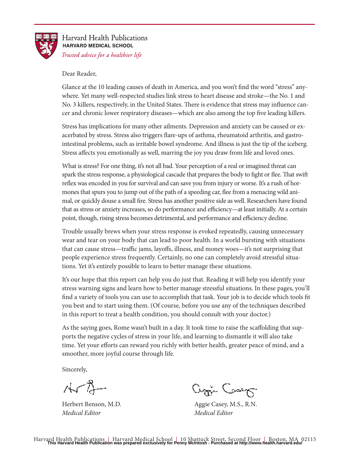

Harvard Health Publications **HARVARD MEDICAL SCHOOL** Trusted advice for a healthier life

#### Dear Reader,

Glance at the 10 leading causes of death in America, and you won't find the word "stress" anywhere. Yet many well-respected studies link stress to heart disease and stroke—the No. 1 and No. 3 killers, respectively, in the United States. There is evidence that stress may influence cancer and chronic lower respiratory diseases—which are also among the top five leading killers.

Stress has implications for many other ailments. Depression and anxiety can be caused or exacerbated by stress. Stress also triggers flare-ups of asthma, rheumatoid arthritis, and gastrointestinal problems, such as irritable bowel syndrome. And illness is just the tip of the iceberg. Stress affects you emotionally as well, marring the joy you draw from life and loved ones.

What is stress? For one thing, it's not all bad. Your perception of a real or imagined threat can spark the stress response, a physiological cascade that prepares the body to fight or flee. That swift reflex was encoded in you for survival and can save you from injury or worse. It's a rush of hormones that spurs you to jump out of the path of a speeding car, flee from a menacing wild animal, or quickly douse a small fire. Stress has another positive side as well. Researchers have found that as stress or anxiety increases, so do performance and efficiency—at least initially. At a certain point, though, rising stress becomes detrimental, and performance and efficiency decline.

Trouble usually brews when your stress response is evoked repeatedly, causing unnecessary wear and tear on your body that can lead to poor health. In a world bursting with situations that can cause stress—traffic jams, layoffs, illness, and money woes—it's not surprising that people experience stress frequently. Certainly, no one can completely avoid stressful situations. Yet it's entirely possible to learn to better manage these situations.

It's our hope that this report can help you do just that. Reading it will help you identify your stress warning signs and learn how to better manage stressful situations. In these pages, you'll find a variety of tools you can use to accomplish that task. Your job is to decide which tools fit you best and to start using them. (Of course, before you use any of the techniques described in this report to treat a health condition, you should consult with your doctor.)

As the saying goes, Rome wasn't built in a day. It took time to raise the scaffolding that supports the negative cycles of stress in your life, and learning to dismantle it will also take time. Yet your efforts can reward you richly with better health, greater peace of mind, and a smoother, more joyful course through life.

Sincerely,

Herbert Benson, M.D. *Medical Editor*

appin Coneg

Aggie Casey, M.S., R.N. *Medical Editor*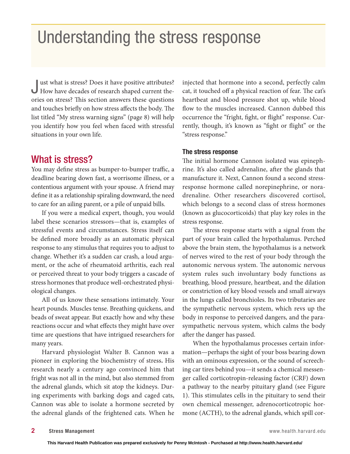# Understanding the stress response

J ust what is stress? Does it have positive attributes? How have decades of research shaped current theories on stress? This section answers these questions and touches briefly on how stress affects the body. The list titled "My stress warning signs" (page 8) will help you identify how you feel when faced with stressful situations in your own life.

# What is stress?

You may define stress as bumper-to-bumper traffic, a deadline bearing down fast, a worrisome illness, or a contentious argument with your spouse. A friend may define it as a relationship spiraling downward, the need to care for an ailing parent, or a pile of unpaid bills.

If you were a medical expert, though, you would label these scenarios stressors—that is, examples of stressful events and circumstances. Stress itself can be defined more broadly as an automatic physical response to any stimulus that requires you to adjust to change. Whether it's a sudden car crash, a loud argument, or the ache of rheumatoid arthritis, each real or perceived threat to your body triggers a cascade of stress hormones that produce well-orchestrated physiological changes.

All of us know these sensations intimately. Your heart pounds. Muscles tense. Breathing quickens, and beads of sweat appear. But exactly how and why these reactions occur and what effects they might have over time are questions that have intrigued researchers for many years.

Harvard physiologist Walter B. Cannon was a pioneer in exploring the biochemistry of stress**.** His research nearly a century ago convinced him that fright was not all in the mind, but also stemmed from the adrenal glands, which sit atop the kidneys. During experiments with barking dogs and caged cats, Cannon was able to isolate a hormone secreted by the adrenal glands of the frightened cats. When he injected that hormone into a second, perfectly calm cat, it touched off a physical reaction of fear. The cat's heartbeat and blood pressure shot up, while blood flow to the muscles increased. Cannon dubbed this occurrence the "fright, fight, or flight" response. Currently, though, it's known as "fight or flight" or the "stress response."

#### The stress response

The initial hormone Cannon isolated was epinephrine. It's also called adrenaline, after the glands that manufacture it. Next, Cannon found a second stressresponse hormone called norepinephrine, or noradrenaline. Other researchers discovered cortisol, which belongs to a second class of stress hormones (known as glucocorticoids) that play key roles in the stress response.

The stress response starts with a signal from the part of your brain called the hypothalamus. Perched above the brain stem, the hypothalamus is a network of nerves wired to the rest of your body through the autonomic nervous system. The autonomic nervous system rules such involuntary body functions as breathing, blood pressure, heartbeat, and the dilation or constriction of key blood vessels and small airways in the lungs called bronchioles. Its two tributaries are the sympathetic nervous system, which revs up the body in response to perceived dangers, and the parasympathetic nervous system, which calms the body after the danger has passed.

When the hypothalamus processes certain information—perhaps the sight of your boss bearing down with an ominous expression, or the sound of screeching car tires behind you—it sends a chemical messenger called corticotropin-releasing factor (CRF) down a pathway to the nearby pituitary gland (see Figure 1). This stimulates cells in the pituitary to send their own chemical messenger, adrenocorticotropic hormone (ACTH), to the adrenal glands, which spill cor-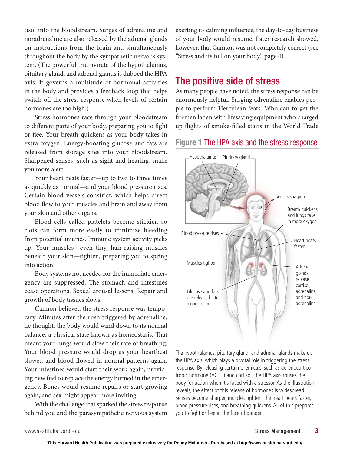tisol into the bloodstream. Surges of adrenaline and noradrenaline are also released by the adrenal glands on instructions from the brain and simultaneously throughout the body by the sympathetic nervous system. (The powerful triumvirate of the hypothalamus, pituitary gland, and adrenal glands is dubbed the HPA axis. It governs a multitude of hormonal activities in the body and provides a feedback loop that helps switch off the stress response when levels of certain hormones are too high.)

Stress hormones race through your bloodstream to different parts of your body, preparing you to fight or flee. Your breath quickens as your body takes in extra oxygen. Energy-boosting glucose and fats are released from storage sites into your bloodstream. Sharpened senses, such as sight and hearing, make you more alert.

Your heart beats faster—up to two to three times as quickly as normal—and your blood pressure rises. Certain blood vessels constrict, which helps direct blood flow to your muscles and brain and away from your skin and other organs.

Blood cells called platelets become stickier, so clots can form more easily to minimize bleeding from potential injuries. Immune system activity picks up. Your muscles—even tiny, hair-raising muscles beneath your skin—tighten, preparing you to spring into action.

Body systems not needed for the immediate emergency are suppressed. The stomach and intestines cease operations. Sexual arousal lessens. Repair and growth of body tissues slows.

Cannon believed the stress response was temporary. Minutes after the rush triggered by adrenaline, he thought, the body would wind down to its normal balance, a physical state known as homeostasis. That meant your lungs would slow their rate of breathing. Your blood pressure would drop as your heartbeat slowed and blood flowed in normal patterns again. Your intestines would start their work again, providing new fuel to replace the energy burned in the emergency. Bones would resume repairs or start growing again, and sex might appear more inviting.

With the challenge that sparked the stress response behind you and the parasympathetic nervous system

exerting its calming influence, the day-to-day business of your body would resume. Later research showed, however, that Cannon was not completely correct (see "Stress and its toll on your body," page 4).

# The positive side of stress

As many people have noted, the stress response can be enormously helpful. Surging adrenaline enables people to perform Herculean feats. Who can forget the firemen laden with lifesaving equipment who charged up flights of smoke-filled stairs in the World Trade

#### Figure 1 The HPA axis and the stress response



The hypothalamus, pituitary gland, and adrenal glands make up the HPA axis, which plays a pivotal role in triggering the stress response. By releasing certain chemicals, such as adrenocorticotropic hormone (ACTH) and cortisol, the HPA axis rouses the body for action when it's faced with a stressor. As the illustration reveals, the effect of this release of hormones is widespread. Senses become sharper, muscles tighten, the heart beats faster, blood pressure rises, and breathing quickens. All of this prepares you to fight or flee in the face of danger.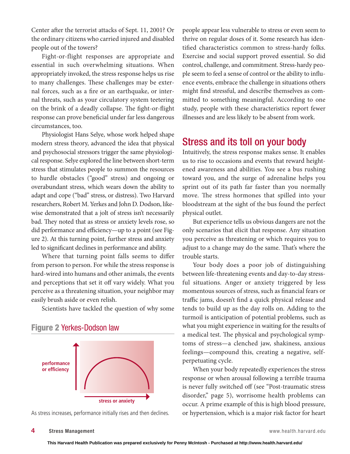Center after the terrorist attacks of Sept. 11, 2001? Or the ordinary citizens who carried injured and disabled people out of the towers?

Fight-or-flight responses are appropriate and essential in such overwhelming situations. When appropriately invoked, the stress response helps us rise to many challenges. These challenges may be external forces, such as a fire or an earthquake, or internal threats, such as your circulatory system teetering on the brink of a deadly collapse. The fight-or-flight response can prove beneficial under far less dangerous circumstances, too.

Physiologist Hans Selye, whose work helped shape modern stress theory, advanced the idea that physical and psychosocial stressors trigger the same physiological response. Selye explored the line between short-term stress that stimulates people to summon the resources to hurdle obstacles ("good" stress) and ongoing or overabundant stress, which wears down the ability to adapt and cope ("bad" stress, or distress). Two Harvard researchers, Robert M. Yerkes and John D. Dodson, likewise demonstrated that a jolt of stress isn't necessarily bad. They noted that as stress or anxiety levels rose, so did performance and efficiency—up to a point (see Figure 2). At this turning point, further stress and anxiety led to significant declines in performance and ability.

Where that turning point falls seems to differ from person to person. For while the stress response is hard-wired into humans and other animals, the events and perceptions that set it off vary widely. What you perceive as a threatening situation, your neighbor may easily brush aside or even relish.

Scientists have tackled the question of why some



## Figure 2 Yerkes-Dodson law

As stress increases, performance initially rises and then declines.

people appear less vulnerable to stress or even seem to thrive on regular doses of it. Some research has identified characteristics common to stress-hardy folks. Exercise and social support proved essential. So did control, challenge, and commitment. Stress-hardy people seem to feel a sense of control or the ability to influence events, embrace the challenge in situations others might find stressful, and describe themselves as committed to something meaningful. According to one study, people with these characteristics report fewer illnesses and are less likely to be absent from work.

# Stress and its toll on your body

Intuitively, the stress response makes sense. It enables us to rise to occasions and events that reward heightened awareness and abilities. You see a bus rushing toward you, and the surge of adrenaline helps you sprint out of its path far faster than you normally move. The stress hormones that spilled into your bloodstream at the sight of the bus found the perfect physical outlet.

But experience tells us obvious dangers are not the only scenarios that elicit that response. Any situation you perceive as threatening or which requires you to adjust to a change may do the same. That's where the trouble starts.

Your body does a poor job of distinguishing between life-threatening events and day-to-day stressful situations. Anger or anxiety triggered by less momentous sources of stress, such as financial fears or traffic jams, doesn't find a quick physical release and tends to build up as the day rolls on. Adding to the turmoil is anticipation of potential problems, such as what you might experience in waiting for the results of a medical test. The physical and psychological symptoms of stress—a clenched jaw, shakiness, anxious feelings—compound this, creating a negative, selfperpetuating cycle.

When your body repeatedly experiences the stress response or when arousal following a terrible trauma is never fully switched off (see "Post-traumatic stress disorder," page 5), worrisome health problems can occur. A prime example of this is high blood pressure, or hypertension, which is a major risk factor for heart

**This Harvard Health Publication was prepared exclusively for Penny McIntosh - Purchased at http://www.health.harvard.edu/**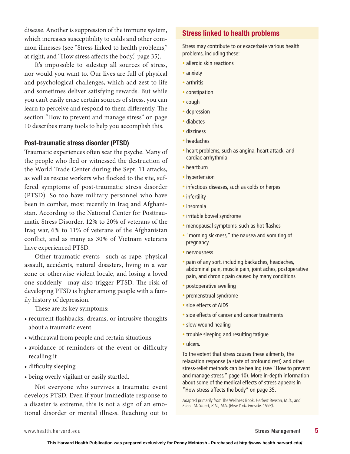disease. Another is suppression of the immune system, which increases susceptibility to colds and other common illnesses (see "Stress linked to health problems," at right, and "How stress affects the body," page 35).

It's impossible to sidestep all sources of stress, nor would you want to. Our lives are full of physical and psychological challenges, which add zest to life and sometimes deliver satisfying rewards. But while you can't easily erase certain sources of stress, you can learn to perceive and respond to them differently. The section "How to prevent and manage stress" on page 10 describes many tools to help you accomplish this.

#### Post-traumatic stress disorder (PTSD)

Traumatic experiences often scar the psyche. Many of the people who fled or witnessed the destruction of the World Trade Center during the Sept. 11 attacks, as well as rescue workers who flocked to the site, suffered symptoms of post-traumatic stress disorder (PTSD). So too have military personnel who have been in combat, most recently in Iraq and Afghanistan. According to the National Center for Posttraumatic Stress Disorder, 12% to 20% of veterans of the Iraq war, 6% to 11% of veterans of the Afghanistan conflict, and as many as 30% of Vietnam veterans have experienced PTSD.

Other traumatic events—such as rape, physical assault, accidents, natural disasters, living in a war zone or otherwise violent locale, and losing a loved one suddenly—may also trigger PTSD. The risk of developing PTSD is higher among people with a family history of depression.

These are its key symptoms:

- recurrent flashbacks, dreams, or intrusive thoughts about a traumatic event
- withdrawal from people and certain situations
- avoidance of reminders of the event or difficulty recalling it
- difficulty sleeping
- being overly vigilant or easily startled.

Not everyone who survives a traumatic event develops PTSD. Even if your immediate response to a disaster is extreme, this is not a sign of an emotional disorder or mental illness. Reaching out to

#### Stress linked to health problems

Stress may contribute to or exacerbate various health problems, including these:

- allergic skin reactions
- anxiety
- arthritis
- constipation
- cough
- depression
- diabetes
- dizziness
- headaches
- heart problems, such as angina, heart attack, and cardiac arrhythmia
- heartburn
- hypertension
- infectious diseases, such as colds or herpes
- infertility
- insomnia
- irritable bowel syndrome
- menopausal symptoms, such as hot flashes
- "morning sickness," the nausea and vomiting of pregnancy
- nervousness
- pain of any sort, including backaches, headaches, abdominal pain, muscle pain, joint aches, postoperative pain, and chronic pain caused by many conditions
- postoperative swelling
- premenstrual syndrome
- side effects of AIDS
- side effects of cancer and cancer treatments
- slow wound healing
- trouble sleeping and resulting fatigue
- ulcers.

To the extent that stress causes these ailments, the relaxation response (a state of profound rest) and other stress-relief methods can be healing (see "How to prevent and manage stress," page 10). More in-depth information about some of the medical effects of stress appears in "How stress affects the body" on page 35.

Adapted primarily from The Wellness Book, Herbert Benson, M.D., and Eileen M. Stuart, R.N., M.S. (New York: Fireside, 1993).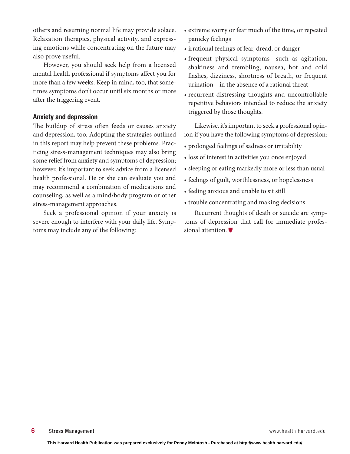others and resuming normal life may provide solace. Relaxation therapies, physical activity, and expressing emotions while concentrating on the future may also prove useful.

However, you should seek help from a licensed mental health professional if symptoms affect you for more than a few weeks. Keep in mind, too, that sometimes symptoms don't occur until six months or more after the triggering event.

#### Anxiety and depression

The buildup of stress often feeds or causes anxiety and depression, too. Adopting the strategies outlined in this report may help prevent these problems. Practicing stress-management techniques may also bring some relief from anxiety and symptoms of depression; however, it's important to seek advice from a licensed health professional. He or she can evaluate you and may recommend a combination of medications and counseling, as well as a mind/body program or other stress-management approaches.

Seek a professional opinion if your anxiety is severe enough to interfere with your daily life. Symptoms may include any of the following:

- extreme worry or fear much of the time, or repeated panicky feelings
- irrational feelings of fear, dread, or danger
- frequent physical symptoms—such as agitation, shakiness and trembling, nausea, hot and cold flashes, dizziness, shortness of breath, or frequent urination—in the absence of a rational threat
- recurrent distressing thoughts and uncontrollable repetitive behaviors intended to reduce the anxiety triggered by those thoughts.

Likewise, it's important to seek a professional opinion if you have the following symptoms of depression:

- prolonged feelings of sadness or irritability
- loss of interest in activities you once enjoyed
- sleeping or eating markedly more or less than usual
- feelings of guilt, worthlessness, or hopelessness
- feeling anxious and unable to sit still
- trouble concentrating and making decisions.

Recurrent thoughts of death or suicide are symptoms of depression that call for immediate professional attention.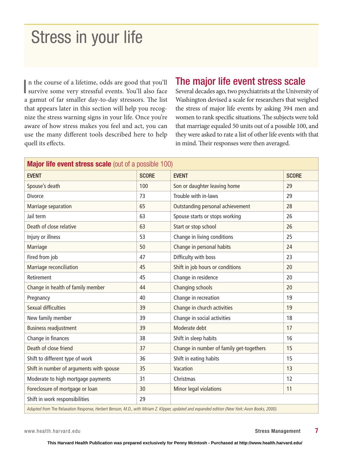# Stress in your life

I n the course of a lifetime, odds are good that you'll survive some very stressful events. You'll also face a gamut of far smaller day-to-day stressors. The list that appears later in this section will help you recognize the stress warning signs in your life. Once you're aware of how stress makes you feel and act, you can use the many different tools described here to help quell its effects.

# The major life event stress scale

Several decades ago, two psychiatrists at the University of Washington devised a scale for researchers that weighed the stress of major life events by asking 394 men and women to rank specific situations. The subjects were told that marriage equaled 50 units out of a possible 100, and they were asked to rate a list of other life events with that in mind. Their responses were then averaged.

| <b>Major life event stress scale</b> (out of a possible 100) |              |                                                                                                                                                |              |  |  |
|--------------------------------------------------------------|--------------|------------------------------------------------------------------------------------------------------------------------------------------------|--------------|--|--|
| <b>EVENT</b>                                                 | <b>SCORE</b> | <b>EVENT</b>                                                                                                                                   | <b>SCORE</b> |  |  |
| Spouse's death                                               | 100          | Son or daughter leaving home                                                                                                                   | 29           |  |  |
| <b>Divorce</b>                                               | 73           | Trouble with in-laws                                                                                                                           | 29           |  |  |
| Marriage separation                                          | 65           | Outstanding personal achievement                                                                                                               | 28           |  |  |
| Jail term                                                    | 63           | Spouse starts or stops working                                                                                                                 | 26           |  |  |
| Death of close relative                                      | 63           | Start or stop school                                                                                                                           | 26           |  |  |
| Injury or illness                                            | 53           | Change in living conditions                                                                                                                    | 25           |  |  |
| Marriage                                                     | 50           | Change in personal habits                                                                                                                      | 24           |  |  |
| Fired from job                                               | 47           | Difficulty with boss                                                                                                                           | 23           |  |  |
| Marriage reconciliation                                      | 45           | Shift in job hours or conditions                                                                                                               | 20           |  |  |
| Retirement                                                   | 45           | Change in residence                                                                                                                            | 20           |  |  |
| Change in health of family member                            | 44           | Changing schools                                                                                                                               | 20           |  |  |
| Pregnancy                                                    | 40           | Change in recreation                                                                                                                           | 19           |  |  |
| Sexual difficulties                                          | 39           | Change in church activities                                                                                                                    | 19           |  |  |
| New family member                                            | 39           | Change in social activities                                                                                                                    | 18           |  |  |
| <b>Business readjustment</b>                                 | 39           | Moderate debt                                                                                                                                  | 17           |  |  |
| Change in finances                                           | 38           | Shift in sleep habits                                                                                                                          | 16           |  |  |
| Death of close friend                                        | 37           | Change in number of family get-togethers                                                                                                       | 15           |  |  |
| Shift to different type of work                              | 36           | Shift in eating habits                                                                                                                         | 15           |  |  |
| Shift in number of arguments with spouse                     | 35           | Vacation                                                                                                                                       | 13           |  |  |
| Moderate to high mortgage payments                           | 31           | Christmas                                                                                                                                      | 12           |  |  |
| Foreclosure of mortgage or loan                              | 30           | Minor legal violations                                                                                                                         | 11           |  |  |
| Shift in work responsibilities                               | 29           |                                                                                                                                                |              |  |  |
|                                                              |              | Adapted from The Relaxation Response, Herbert Benson, M.D., with Miriam Z. Klipper, updated and expanded edition (New York: Avon Books, 2000). |              |  |  |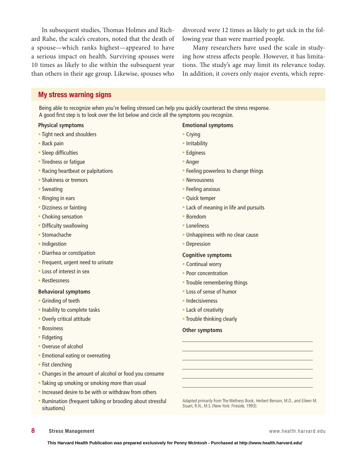In subsequent studies, Thomas Holmes and Richard Rahe, the scale's creators, noted that the death of a spouse—which ranks highest—appeared to have a serious impact on health. Surviving spouses were 10 times as likely to die within the subsequent year than others in their age group. Likewise, spouses who

divorced were 12 times as likely to get sick in the following year than were married people.

Many researchers have used the scale in studying how stress affects people. However, it has limitations. The study's age may limit its relevance today. In addition, it covers only major events, which repre-

#### My stress warning signs

Being able to recognize when you're feeling stressed can help you quickly counteract the stress response. A good first step is to look over the list below and circle all the symptoms you recognize.

#### **Physical symptoms**

- Tight neck and shoulders
- Back pain
- Sleep difficulties
- Tiredness or fatigue
- Racing heartbeat or palpitations
- Shakiness or tremors
- Sweating
- Ringing in ears
- Dizziness or fainting
- Choking sensation
- Difficulty swallowing
- Stomachache
- Indigestion
- Diarrhea or constipation
- Frequent, urgent need to urinate
- Loss of interest in sex
- Restlessness

#### **Behavioral symptoms**

- Grinding of teeth
- Inability to complete tasks
- Overly critical attitude
- Bossiness
- Fidgeting
- Overuse of alcohol
- Emotional eating or overeating
- Fist clenching
- Changes in the amount of alcohol or food you consume
- Taking up smoking or smoking more than usual
- Increased desire to be with or withdraw from others
- Rumination (frequent talking or brooding about stressful situations)

#### **Emotional symptoms**

- Crying
- Irritability
- Edginess
- Anger
- Feeling powerless to change things
- Nervousness
- Feeling anxious
- Quick temper
- Lack of meaning in life and pursuits
- Boredom
- Loneliness
- Unhappiness with no clear cause
- Depression

#### **Cognitive symptoms**

- Continual worry
- Poor concentration
- Trouble remembering things
- Loss of sense of humor
- Indecisiveness
- Lack of creativity
- Trouble thinking clearly

#### **Other symptoms**

Adapted primarily from The Wellness Book, Herbert Benson, M.D., and Eileen M. Stuart, R.N., M.S. (New York: Fireside, 1993).

\_\_\_\_\_\_\_\_\_\_\_\_\_\_\_\_\_\_\_\_\_\_\_\_\_\_\_\_\_\_\_\_\_\_\_\_\_\_\_\_\_\_\_\_\_ \_\_\_\_\_\_\_\_\_\_\_\_\_\_\_\_\_\_\_\_\_\_\_\_\_\_\_\_\_\_\_\_\_\_\_\_\_\_\_\_\_\_\_\_\_ \_\_\_\_\_\_\_\_\_\_\_\_\_\_\_\_\_\_\_\_\_\_\_\_\_\_\_\_\_\_\_\_\_\_\_\_\_\_\_\_\_\_\_\_\_ \_\_\_\_\_\_\_\_\_\_\_\_\_\_\_\_\_\_\_\_\_\_\_\_\_\_\_\_\_\_\_\_\_\_\_\_\_\_\_\_\_\_\_\_\_ \_\_\_\_\_\_\_\_\_\_\_\_\_\_\_\_\_\_\_\_\_\_\_\_\_\_\_\_\_\_\_\_\_\_\_\_\_\_\_\_\_\_\_\_\_ \_\_\_\_\_\_\_\_\_\_\_\_\_\_\_\_\_\_\_\_\_\_\_\_\_\_\_\_\_\_\_\_\_\_\_\_\_\_\_\_\_\_\_\_\_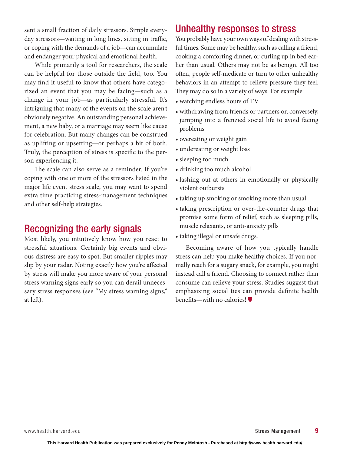sent a small fraction of daily stressors. Simple everyday stressors—waiting in long lines, sitting in traffic, or coping with the demands of a job—can accumulate and endanger your physical and emotional health.

While primarily a tool for researchers, the scale can be helpful for those outside the field, too. You may find it useful to know that others have categorized an event that you may be facing—such as a change in your job—as particularly stressful. It's intriguing that many of the events on the scale aren't obviously negative. An outstanding personal achievement, a new baby, or a marriage may seem like cause for celebration. But many changes can be construed as uplifting or upsetting—or perhaps a bit of both. Truly, the perception of stress is specific to the person experiencing it.

The scale can also serve as a reminder. If you're coping with one or more of the stressors listed in the major life event stress scale, you may want to spend extra time practicing stress-management techniques and other self-help strategies.

# Recognizing the early signals

Most likely, you intuitively know how you react to stressful situations. Certainly big events and obvious distress are easy to spot. But smaller ripples may slip by your radar. Noting exactly how you're affected by stress will make you more aware of your personal stress warning signs early so you can derail unnecessary stress responses (see "My stress warning signs," at left).

# Unhealthy responses to stress

You probably have your own ways of dealing with stressful times. Some may be healthy, such as calling a friend, cooking a comforting dinner, or curling up in bed earlier than usual. Others may not be as benign. All too often, people self-medicate or turn to other unhealthy behaviors in an attempt to relieve pressure they feel. They may do so in a variety of ways. For example:

- watching endless hours of TV
- withdrawing from friends or partners or, conversely, jumping into a frenzied social life to avoid facing problems
- overeating or weight gain
- undereating or weight loss
- sleeping too much
- drinking too much alcohol
- lashing out at others in emotionally or physically violent outbursts
- taking up smoking or smoking more than usual
- taking prescription or over-the-counter drugs that promise some form of relief, such as sleeping pills, muscle relaxants, or anti-anxiety pills
- taking illegal or unsafe drugs.

Becoming aware of how you typically handle stress can help you make healthy choices. If you normally reach for a sugary snack, for example, you might instead call a friend. Choosing to connect rather than consume can relieve your stress. Studies suggest that emphasizing social ties can provide definite health benefits—with no calories!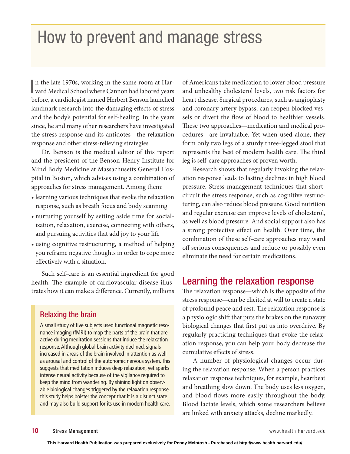# How to prevent and manage stress

In the late 1970s, working in the same room at Harvard Medical School where Cannon had labored years vard Medical School where Cannon had labored years before, a cardiologist named Herbert Benson launched landmark research into the damaging effects of stress and the body's potential for self-healing. In the years since, he and many other researchers have investigated the stress response and its antidotes—the relaxation response and other stress-relieving strategies.

Dr. Benson is the medical editor of this report and the president of the Benson-Henry Institute for Mind Body Medicine at Massachusetts General Hospital in Boston, which advises using a combination of approaches for stress management. Among them:

- learning various techniques that evoke the relaxation response, such as breath focus and body scanning
- nurturing yourself by setting aside time for socialization, relaxation, exercise, connecting with others, and pursuing activities that add joy to your life
- using cognitive restructuring, a method of helping you reframe negative thoughts in order to cope more effectively with a situation.

Such self-care is an essential ingredient for good health. The example of cardiovascular disease illustrates how it can make a difference. Currently, millions

## Relaxing the brain

A small study of five subjects used functional magnetic resonance imaging (fMRI) to map the parts of the brain that are active during meditation sessions that induce the relaxation response. Although global brain activity declined, signals increased in areas of the brain involved in attention as well as arousal and control of the autonomic nervous system. This suggests that meditation induces deep relaxation, yet sparks intense neural activity because of the vigilance required to keep the mind from wandering. By shining light on observable biological changes triggered by the relaxation response, this study helps bolster the concept that it is a distinct state and may also build support for its use in modern health care.

of Americans take medication to lower blood pressure and unhealthy cholesterol levels, two risk factors for heart disease. Surgical procedures, such as angioplasty and coronary artery bypass, can reopen blocked vessels or divert the flow of blood to healthier vessels. These two approaches—medication and medical procedures—are invaluable. Yet when used alone, they form only two legs of a sturdy three-legged stool that represents the best of modern health care. The third leg is self-care approaches of proven worth.

Research shows that regularly invoking the relaxation response leads to lasting declines in high blood pressure. Stress-management techniques that shortcircuit the stress response, such as cognitive restructuring, can also reduce blood pressure. Good nutrition and regular exercise can improve levels of cholesterol, as well as blood pressure. And social support also has a strong protective effect on health. Over time, the combination of these self-care approaches may ward off serious consequences and reduce or possibly even eliminate the need for certain medications.

# Learning the relaxation response

The relaxation response—which is the opposite of the stress response—can be elicited at will to create a state of profound peace and rest. The relaxation response is a physiologic shift that puts the brakes on the runaway biological changes that first put us into overdrive. By regularly practicing techniques that evoke the relaxation response, you can help your body decrease the cumulative effects of stress.

A number of physiological changes occur during the relaxation response. When a person practices relaxation response techniques, for example, heartbeat and breathing slow down. The body uses less oxygen, and blood flows more easily throughout the body. Blood lactate levels, which some researchers believe are linked with anxiety attacks, decline markedly.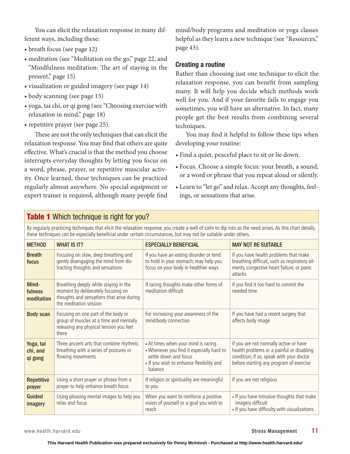You can elicit the relaxation response in many different ways, including these:

- breath focus (see page 12)
- meditation (see "Meditation on the go," page 22, and "Mindfulness meditation: The art of staying in the present," page 15)
- visualization or guided imagery (see page 14)
- body scanning (see page 13)
- yoga, tai chi, or qi gong (see "Choosing exercise with relaxation in mind," page 18)
- repetitive prayer (see page 25).

These are not the only techniques that can elicit the relaxation response. You may find that others are quite effective. What's crucial is that the method you choose interrupts everyday thoughts by letting you focus on a word, phrase, prayer, or repetitive muscular activity. Once learned, these techniques can be practiced regularly almost anywhere. No special equipment or expert trainer is required, although many people find mind/body programs and meditation or yoga classes helpful as they learn a new technique (see "Resources," page 43).

#### Creating a routine

Rather than choosing just one technique to elicit the relaxation response, you can benefit from sampling many. It will help you decide which methods work well for you. And if your favorite fails to engage you sometimes, you will have an alternative. In fact, many people get the best results from combining several techniques.

You may find it helpful to follow these tips when developing your routine:

- Find a quiet, peaceful place to sit or lie down.
- Focus. Choose a simple focus: your breath, a sound, or a word or phrase that you repeat aloud or silently.
- Learn to "let go" and relax. Accept any thoughts, feelings, or sensations that arise.

## **Table 1** Which technique is right for you?

By regularly practicing techniques that elicit the relaxation response, you create a well of calm to dip into as the need arises. As this chart details, these techniques can be especially beneficial under certain circumstances, but may not be suitable under others.

| <b>METHOD</b>                    | <b>WHAT IS IT?</b>                                                                                                                                 | <b>ESPECIALLY BENEFICIAL</b>                                                                                                                                     | <b>MAY NOT BE SUITABLE</b>                                                                                                                                                 |
|----------------------------------|----------------------------------------------------------------------------------------------------------------------------------------------------|------------------------------------------------------------------------------------------------------------------------------------------------------------------|----------------------------------------------------------------------------------------------------------------------------------------------------------------------------|
| <b>Breath</b><br>focus           | Focusing on slow, deep breathing and<br>gently disengaging the mind from dis-<br>tracting thoughts and sensations                                  | If you have an eating disorder or tend<br>to hold in your stomach; may help you<br>focus on your body in healthier ways                                          | If you have health problems that make<br>breathing difficult, such as respiratory ail-<br>ments, congestive heart failure, or panic<br>attacks                             |
| Mind-<br>fulness<br>meditation   | Breathing deeply while staying in the<br>moment by deliberately focusing on<br>thoughts and sensations that arise during<br>the meditation session | If racing thoughts make other forms of<br>meditation difficult                                                                                                   | If you find it too hard to commit the<br>needed time                                                                                                                       |
| <b>Body scan</b>                 | Focusing on one part of the body or<br>group of muscles at a time and mentally<br>releasing any physical tension you feel<br>there                 | For increasing your awareness of the<br>mind/body connection                                                                                                     | If you have had a recent surgery that<br>affects body image                                                                                                                |
| Yoga, tai<br>chi, and<br>qi gong | Three ancient arts that combine rhythmic<br>breathing with a series of postures or<br>flowing movements                                            | • At times when your mind is racing<br>• Whenever you find it especially hard to<br>settle down and focus<br>• If you wish to enhance flexibility and<br>balance | If you are not normally active or have<br>health problems or a painful or disabling<br>condition; if so, speak with your doctor<br>before starting any program of exercise |
| <b>Repetitive</b><br>prayer      | Using a short prayer or phrase from a<br>prayer to help enhance breath focus                                                                       | If religion or spirituality are meaningful<br>to you                                                                                                             | If you are not religious                                                                                                                                                   |
| <b>Guided</b><br>imagery         | Using pleasing mental images to help you<br>relax and focus                                                                                        | When you want to reinforce a positive<br>vision of yourself or a goal you wish to<br>reach                                                                       | • If you have intrusive thoughts that make<br>imagery difficult<br>• If you have difficulty with visualizations                                                            |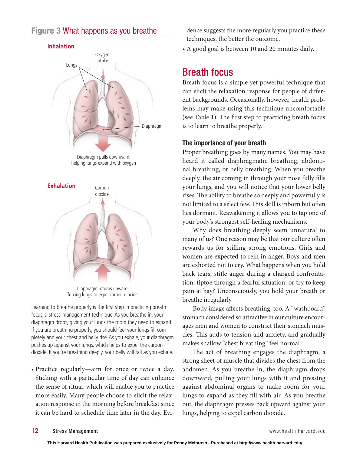## Figure 3 What happens as you breathe



Diaphragm returns upward, forcing lungs to expel carbon dioxide

Learning to breathe properly is the first step in practicing breath focus, a stress-management technique. As you breathe in, your diaphragm drops, giving your lungs the room they need to expand. If you are breathing properly, you should feel your lungs fill completely and your chest and belly rise. As you exhale, your diaphragm pushes up against your lungs, which helps to expel the carbon dioxide. If you're breathing deeply, your belly will fall as you exhale.

• Practice regularly—aim for once or twice a day. Sticking with a particular time of day can enhance the sense of ritual, which will enable you to practice more easily. Many people choose to elicit the relaxation response in the morning before breakfast since it can be hard to schedule time later in the day. Evidence suggests the more regularly you practice these techniques, the better the outcome.

• A good goal is between 10 and 20 minutes daily.

# Breath focus

Breath focus is a simple yet powerful technique that can elicit the relaxation response for people of different backgrounds. Occasionally, however, health problems may make using this technique uncomfortable (see Table 1). The first step to practicing breath focus is to learn to breathe properly.

#### The importance of your breath

Proper breathing goes by many names. You may have heard it called diaphragmatic breathing, abdominal breathing, or belly breathing. When you breathe deeply, the air coming in through your nose fully fills your lungs, and you will notice that your lower belly rises. The ability to breathe so deeply and powerfully is not limited to a select few. This skill is inborn but often lies dormant. Reawakening it allows you to tap one of your body's strongest self-healing mechanisms.

Why does breathing deeply seem unnatural to many of us? One reason may be that our culture often rewards us for stifling strong emotions. Girls and women are expected to rein in anger. Boys and men are exhorted not to cry. What happens when you hold back tears, stifle anger during a charged confrontation, tiptoe through a fearful situation, or try to keep pain at bay? Unconsciously, you hold your breath or breathe irregularly.

Body image affects breathing, too. A "washboard" stomach considered so attractive in our culture encourages men and women to constrict their stomach muscles. This adds to tension and anxiety, and gradually makes shallow "chest breathing" feel normal.

The act of breathing engages the diaphragm, a strong sheet of muscle that divides the chest from the abdomen. As you breathe in, the diaphragm drops downward, pulling your lungs with it and pressing against abdominal organs to make room for your lungs to expand as they fill with air. As you breathe out, the diaphragm presses back upward against your lungs, helping to expel carbon dioxide.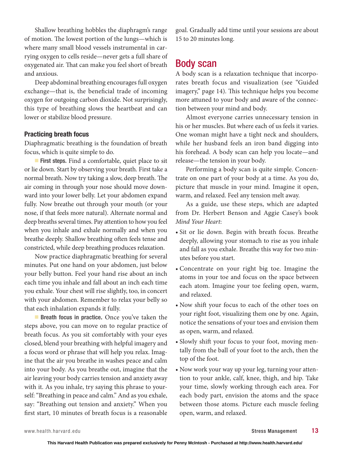Shallow breathing hobbles the diaphragm's range of motion. The lowest portion of the lungs—which is where many small blood vessels instrumental in carrying oxygen to cells reside—never gets a full share of oxygenated air. That can make you feel short of breath and anxious.

Deep abdominal breathing encourages full oxygen exchange—that is, the beneficial trade of incoming oxygen for outgoing carbon dioxide. Not surprisingly, this type of breathing slows the heartbeat and can lower or stabilize blood pressure.

#### Practicing breath focus

Diaphragmatic breathing is the foundation of breath focus, which is quite simple to do.

■ First steps. Find a comfortable, quiet place to sit or lie down. Start by observing your breath. First take a normal breath. Now try taking a slow, deep breath. The air coming in through your nose should move downward into your lower belly. Let your abdomen expand fully. Now breathe out through your mouth (or your nose, if that feels more natural). Alternate normal and deep breaths several times. Pay attention to how you feel when you inhale and exhale normally and when you breathe deeply. Shallow breathing often feels tense and constricted, while deep breathing produces relaxation.

Now practice diaphragmatic breathing for several minutes. Put one hand on your abdomen, just below your belly button. Feel your hand rise about an inch each time you inhale and fall about an inch each time you exhale. Your chest will rise slightly, too, in concert with your abdomen. Remember to relax your belly so that each inhalation expands it fully.

■ Breath focus in practice. Once you've taken the steps above, you can move on to regular practice of breath focus. As you sit comfortably with your eyes closed, blend your breathing with helpful imagery and a focus word or phrase that will help you relax. Imagine that the air you breathe in washes peace and calm into your body. As you breathe out, imagine that the air leaving your body carries tension and anxiety away with it. As you inhale, try saying this phrase to yourself: "Breathing in peace and calm." And as you exhale, say: "Breathing out tension and anxiety." When you first start, 10 minutes of breath focus is a reasonable

goal. Gradually add time until your sessions are about 15 to 20 minutes long.

# Body scan

A body scan is a relaxation technique that incorporates breath focus and visualization (see "Guided imagery," page 14). This technique helps you become more attuned to your body and aware of the connection between your mind and body.

Almost everyone carries unnecessary tension in his or her muscles. But where each of us feels it varies. One woman might have a tight neck and shoulders, while her husband feels an iron band digging into his forehead. A body scan can help you locate—and release—the tension in your body.

Performing a body scan is quite simple. Concentrate on one part of your body at a time. As you do, picture that muscle in your mind. Imagine it open, warm, and relaxed. Feel any tension melt away.

As a guide, use these steps, which are adapted from Dr. Herbert Benson and Aggie Casey's book *Mind Your Heart*:

- Sit or lie down. Begin with breath focus. Breathe deeply, allowing your stomach to rise as you inhale and fall as you exhale. Breathe this way for two minutes before you start.
- Concentrate on your right big toe. Imagine the atoms in your toe and focus on the space between each atom. Imagine your toe feeling open, warm, and relaxed.
- Now shift your focus to each of the other toes on your right foot, visualizing them one by one. Again, notice the sensations of your toes and envision them as open, warm, and relaxed.
- Slowly shift your focus to your foot, moving mentally from the ball of your foot to the arch, then the top of the foot.
- Now work your way up your leg, turning your attention to your ankle, calf, knee, thigh, and hip. Take your time, slowly working through each area. For each body part, envision the atoms and the space between those atoms. Picture each muscle feeling open, warm, and relaxed.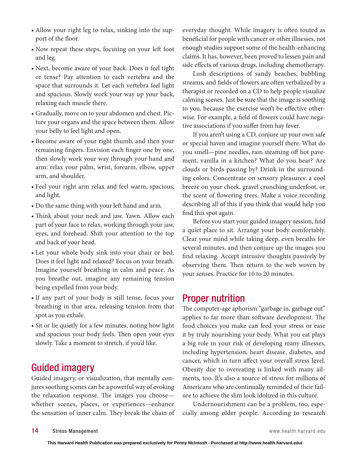- Allow your right leg to relax, sinking into the support of the floor.
- Now repeat these steps, focusing on your left foot and leg.
- Next, become aware of your back. Does it feel tight or tense? Pay attention to each vertebra and the space that surrounds it. Let each vertebra feel light and spacious. Slowly work your way up your back, relaxing each muscle there.
- Gradually, move on to your abdomen and chest. Picture your organs and the space between them. Allow your belly to feel light and open.
- Become aware of your right thumb, and then your remaining fingers. Envision each finger one by one, then slowly work your way through your hand and arm: relax your palm, wrist, forearm, elbow, upper arm, and shoulder.
- Feel your right arm relax and feel warm, spacious, and light.
- Do the same thing with your left hand and arm.
- Think about your neck and jaw. Yawn. Allow each part of your face to relax, working through your jaw, eyes, and forehead. Shift your attention to the top and back of your head.
- Let your whole body sink into your chair or bed. Does it feel light and relaxed? Focus on your breath. Imagine yourself breathing in calm and peace. As you breathe out, imagine any remaining tension being expelled from your body.
- If any part of your body is still tense, focus your breathing in that area, releasing tension from that spot as you exhale.
- Sit or lie quietly for a few minutes, noting how light and spacious your body feels. Then open your eyes slowly. Take a moment to stretch, if you'd like.

# Guided imagery

Guided imagery, or visualization, that mentally conjures soothing scenes can be a powerful way of evoking the relaxation response. The images you choose whether scenes, places, or experiences—enhance the sensation of inner calm. They break the chain of everyday thought. While imagery is often touted as beneficial for people with cancer or other illnesses, not enough studies support some of the health-enhancing claims. It has, however, been proved to lessen pain and side effects of various drugs, including chemotherapy.

Lush descriptions of sandy beaches, bubbling streams, and fields of flowers are often verbalized by a therapist or recorded on a CD to help people visualize calming scenes. Just be sure that the image is soothing to you, because the exercise won't be effective otherwise. For example, a field of flowers could have negative associations if you suffer from hay fever.

If you aren't using a CD, conjure up your own safe or special haven and imagine yourself there. What do you smell—pine needles, rain steaming off hot pavement, vanilla in a kitchen? What do you hear? Are clouds or birds passing by? Drink in the surrounding colors. Concentrate on sensory pleasures: a cool breeze on your cheek, gravel crunching underfoot, or the scent of flowering trees. Make a voice recording describing all of this if you think that would help you find this spot again.

Before you start your guided imagery session, find a quiet place to sit. Arrange your body comfortably. Clear your mind while taking deep, even breaths for several minutes, and then conjure up the images you find relaxing. Accept intrusive thoughts passively by observing them. Then return to the web woven by your senses. Practice for 10 to 20 minutes.

# Proper nutrition

The computer-age aphorism "garbage in, garbage out" applies to far more than software development. The food choices you make can feed your stress or ease it by truly nourishing your body. What you eat plays a big role in your risk of developing many illnesses, including hypertension, heart disease, diabetes, and cancer, which in turn affect your overall stress level. Obesity due to overeating is linked with many ailments, too. It's also a source of stress for millions of Americans who are continually reminded of their failure to achieve the slim look idolized in this culture.

Undernourishment can be a problem, too, especially among older people. According to research

**This Harvard Health Publication was prepared exclusively for Penny McIntosh - Purchased at http://www.health.harvard.edu/**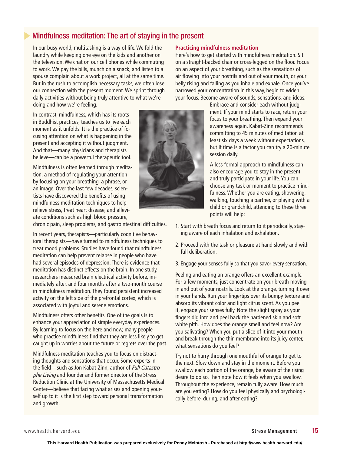# Mindfulness meditation: The art of staying in the present

In our busy world, multitasking is a way of life. We fold the laundry while keeping one eye on the kids and another on the television. We chat on our cell phones while commuting to work. We pay the bills, munch on a snack, and listen to a spouse complain about a work project, all at the same time. But in the rush to accomplish necessary tasks, we often lose our connection with the present moment. We sprint through daily activities without being truly attentive to what we're doing and how we're feeling.

In contrast, mindfulness, which has its roots in Buddhist practices, teaches us to live each moment as it unfolds. It is the practice of focusing attention on what is happening in the present and accepting it without judgment. And that—many physicians and therapists believe—can be a powerful therapeutic tool.

Mindfulness is often learned through meditation, a method of regulating your attention by focusing on your breathing, a phrase, or an image. Over the last few decades, scientists have discovered the benefits of using mindfulness meditation techniques to help relieve stress, treat heart disease, and alleviate conditions such as high blood pressure,

chronic pain, sleep problems, and gastrointestinal difficulties.

In recent years, therapists—particularly cognitive behavioral therapists—have turned to mindfulness techniques to treat mood problems. Studies have found that mindfulness meditation can help prevent relapse in people who have had several episodes of depression. There is evidence that meditation has distinct effects on the brain. In one study, researchers measured brain electrical activity before, immediately after, and four months after a two-month course in mindfulness meditation. They found persistent increased activity on the left side of the prefrontal cortex, which is associated with joyful and serene emotions.

Mindfulness offers other benefits. One of the goals is to enhance your appreciation of simple everyday experiences. By learning to focus on the here and now, many people who practice mindfulness find that they are less likely to get caught up in worries about the future or regrets over the past.

Mindfulness meditation teaches you to focus on distracting thoughts and sensations that occur. Some experts in the field-such as Jon Kabat-Zinn, author of *Full Catastro*phe Living and founder and former director of the Stress Reduction Clinic at the University of Massachusetts Medical Center—believe that facing what arises and opening yourself up to it is the first step toward personal transformation and growth.

#### **Practicing mindfulness meditation**

Here's how to get started with mindfulness meditation. Sit on a straight-backed chair or cross-legged on the floor. Focus on an aspect of your breathing, such as the sensations of air flowing into your nostrils and out of your mouth, or your belly rising and falling as you inhale and exhale. Once you've narrowed your concentration in this way, begin to widen your focus. Become aware of sounds, sensations, and ideas.

> Embrace and consider each without judgment. If your mind starts to race, return your focus to your breathing. Then expand your awareness again. Kabat-Zinn recommends committing to 45 minutes of meditation at least six days a week without expectations, but if time is a factor you can try a 20-minute session daily.

> A less formal approach to mindfulness can also encourage you to stay in the present and truly participate in your life. You can choose any task or moment to practice mindfulness. Whether you are eating, showering, walking, touching a partner, or playing with a child or grandchild, attending to these three points will help:

- 1. Start with breath focus and return to it periodically, staying aware of each inhalation and exhalation.
- 2. Proceed with the task or pleasure at hand slowly and with full deliberation.
- 3. Engage your senses fully so that you savor every sensation.

Peeling and eating an orange offers an excellent example. For a few moments, just concentrate on your breath moving in and out of your nostrils. Look at the orange, turning it over in your hands. Run your fingertips over its bumpy texture and absorb its vibrant color and light citrus scent. As you peel it, engage your senses fully. Note the slight spray as your fingers dig into and peel back the hardened skin and soft white pith. How does the orange smell and feel now? Are you salivating? When you put a slice of it into your mouth and break through the thin membrane into its juicy center, what sensations do you feel?

Try not to hurry through one mouthful of orange to get to the next. Slow down and stay in the moment. Before you swallow each portion of the orange, be aware of the rising desire to do so. Then note how it feels when you swallow. Throughout the experience, remain fully aware. How much are you eating? How do you feel physically and psychologically before, during, and after eating?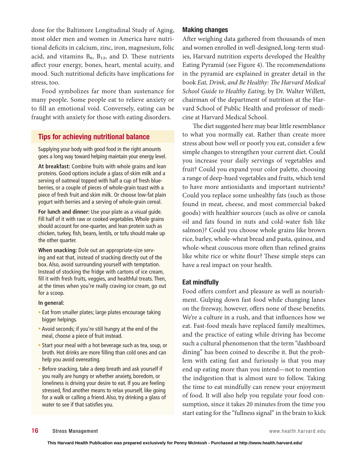done for the Baltimore Longitudinal Study of Aging, most older men and women in America have nutritional deficits in calcium, zinc, iron, magnesium, folic acid, and vitamins  $B_6$ ,  $B_{12}$ , and D. These nutrients affect your energy, bones, heart, mental acuity, and mood. Such nutritional deficits have implications for stress, too.

Food symbolizes far more than sustenance for many people. Some people eat to relieve anxiety or to fill an emotional void. Conversely, eating can be fraught with anxiety for those with eating disorders.

#### Tips for achieving nutritional balance

Supplying your body with good food in the right amounts goes a long way toward helping maintain your energy level.

**At breakfast:** Combine fruits with whole grains and lean proteins. Good options include a glass of skim milk and a serving of oatmeal topped with half a cup of fresh blueberries, or a couple of pieces of whole-grain toast with a piece of fresh fruit and skim milk. Or choose low-fat plain yogurt with berries and a serving of whole-grain cereal.

**For lunch and dinner:** Use your plate as a visual guide. Fill half of it with raw or cooked vegetables. Whole grains should account for one-quarter, and lean protein such as chicken, turkey, fish, beans, lentils, or tofu should make up the other quarter.

**When snacking:** Dole out an appropriate-size serving and eat that, instead of snacking directly out of the box. Also, avoid surrounding yourself with temptation. Instead of stocking the fridge with cartons of ice cream, fill it with fresh fruits, veggies, and healthful treats. Then, at the times when you're really craving ice cream, go out for a scoop.

#### **In general:**

- Eat from smaller plates; large plates encourage taking bigger helpings.
- Avoid seconds; if you're still hungry at the end of the meal, choose a piece of fruit instead.
- Start your meal with a hot beverage such as tea, soup, or broth. Hot drinks are more filling than cold ones and can help you avoid overeating.
- Before snacking, take a deep breath and ask yourself if you really are hungry or whether anxiety, boredom, or loneliness is driving your desire to eat. If you are feeling stressed, find another means to relax yourself, like going for a walk or calling a friend. Also, try drinking a glass of water to see if that satisfies you.

#### Making changes

After weighing data gathered from thousands of men and women enrolled in well-designed, long-term studies, Harvard nutrition experts developed the Healthy Eating Pyramid (see Figure 4). The recommendations in the pyramid are explained in greater detail in the book *Eat, Drink, and Be Healthy: The Harvard Medical School Guide to Healthy Eating,* by Dr. Walter Willett, chairman of the department of nutrition at the Harvard School of Public Health and professor of medicine at Harvard Medical School.

The diet suggested here may bear little resemblance to what you normally eat. Rather than create more stress about how well or poorly you eat, consider a few simple changes to strengthen your current diet. Could you increase your daily servings of vegetables and fruit? Could you expand your color palette, choosing a range of deep-hued vegetables and fruits, which tend to have more antioxidants and important nutrients? Could you replace some unhealthy fats (such as those found in meat, cheese, and most commercial baked goods) with healthier sources (such as olive or canola oil and fats found in nuts and cold-water fish like salmon)? Could you choose whole grains like brown rice, barley, whole-wheat bread and pasta, quinoa, and whole-wheat couscous more often than refined grains like white rice or white flour? These simple steps can have a real impact on your health.

#### Eat mindfully

Food offers comfort and pleasure as well as nourishment. Gulping down fast food while changing lanes on the freeway, however, offers none of these benefits. We're a culture in a rush, and that influences how we eat. Fast-food meals have replaced family mealtimes, and the practice of eating while driving has become such a cultural phenomenon that the term "dashboard dining" has been coined to describe it. But the problem with eating fast and furiously is that you may end up eating more than you intend—not to mention the indigestion that is almost sure to follow. Taking the time to eat mindfully can renew your enjoyment of food. It will also help you regulate your food consumption, since it takes 20 minutes from the time you start eating for the "fullness signal" in the brain to kick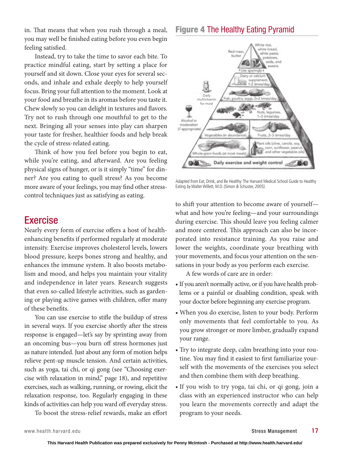Figure 4 The Healthy Eating Pyramid

in. That means that when you rush through a meal, you may well be finished eating before you even begin feeling satisfied.

Instead, try to take the time to savor each bite. To practice mindful eating, start by setting a place for yourself and sit down. Close your eyes for several seconds, and inhale and exhale deeply to help yourself focus. Bring your full attention to the moment. Look at your food and breathe in its aromas before you taste it. Chew slowly so you can delight in textures and flavors. Try not to rush through one mouthful to get to the next. Bringing all your senses into play can sharpen your taste for fresher, healthier foods and help break the cycle of stress-related eating.

Think of how you feel before you begin to eat, while you're eating, and afterward. Are you feeling physical signs of hunger, or is it simply "time" for dinner? Are you eating to quell stress? As you become more aware of your feelings, you may find other stresscontrol techniques just as satisfying as eating.

# Exercise

Nearly every form of exercise offers a host of healthenhancing benefits if performed regularly at moderate intensity. Exercise improves cholesterol levels, lowers blood pressure, keeps bones strong and healthy, and enhances the immune system. It also boosts metabolism and mood, and helps you maintain your vitality and independence in later years. Research suggests that even so-called lifestyle activities, such as gardening or playing active games with children, offer many of these benefits.

You can use exercise to stifle the buildup of stress in several ways. If you exercise shortly after the stress response is engaged—let's say by sprinting away from an oncoming bus—you burn off stress hormones just as nature intended. Just about any form of motion helps relieve pent-up muscle tension. And certain activities, such as yoga, tai chi, or qi gong (see "Choosing exercise with relaxation in mind," page 18), and repetitive exercises, such as walking, running, or rowing, elicit the relaxation response, too. Regularly engaging in these kinds of activities can help you ward off everyday stress.

To boost the stress-relief rewards, make an effort



Adapted from Eat, Drink, and Be Healthy: The Harvard Medical School Guide to Healthy Eating by Walter Willett, M.D. (Simon & Schuster, 2005).

to shift your attention to become aware of yourself what and how you're feeling—and your surroundings during exercise. This should leave you feeling calmer and more centered. This approach can also be incorporated into resistance training. As you raise and lower the weights, coordinate your breathing with your movements, and focus your attention on the sensations in your body as you perform each exercise.

A few words of care are in order:

- If you aren't normally active, or if you have health problems or a painful or disabling condition, speak with your doctor before beginning any exercise program.
- When you do exercise, listen to your body. Perform only movements that feel comfortable to you. As you grow stronger or more limber, gradually expand your range.
- Try to integrate deep, calm breathing into your routine. You may find it easiest to first familiarize yourself with the movements of the exercises you select and then combine them with deep breathing.
- If you wish to try yoga, tai chi, or qi gong, join a class with an experienced instructor who can help you learn the movements correctly and adapt the program to your needs.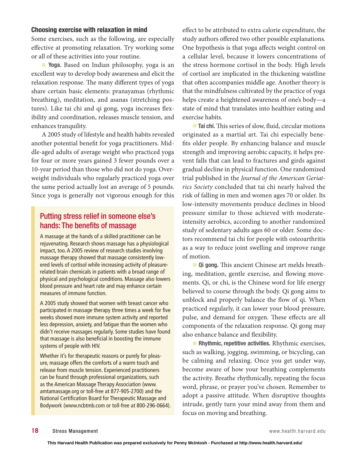#### Choosing exercise with relaxation in mind

Some exercises, such as the following, are especially effective at promoting relaxation. Try working some or all of these activities into your routine.

■ Yoga. Based on Indian philosophy, yoga is an excellent way to develop body awareness and elicit the relaxation response. The many different types of yoga share certain basic elements: pranayamas (rhythmic breathing), meditation, and asanas (stretching postures). Like tai chi and qi gong, yoga increases flexibility and coordination, releases muscle tension, and enhances tranquility.

A 2005 study of lifestyle and health habits revealed another potential benefit for yoga practitioners. Middle-aged adults of average weight who practiced yoga for four or more years gained 3 fewer pounds over a 10-year period than those who did not do yoga. Overweight individuals who regularly practiced yoga over the same period actually lost an average of 5 pounds. Since yoga is generally not vigorous enough for this

## Putting stress relief in someone else's hands: The benefits of massage

A massage at the hands of a skilled practitioner can be rejuvenating. Research shows massage has a physiological impact, too. A 2005 review of research studies involving massage therapy showed that massage consistently lowered levels of cortisol while increasing activity of pleasurerelated brain chemicals in patients with a broad range of physical and psychological conditions. Massage also lowers blood pressure and heart rate and may enhance certain measures of immune function.

A 2005 study showed that women with breast cancer who participated in massage therapy three times a week for five weeks showed more immune system activity and reported less depression, anxiety, and fatigue than the women who didn't receive massages regularly. Some studies have found that massage is also beneficial in boosting the immune systems of people with HIV.

Whether it's for therapeutic reasons or purely for pleasure, massage offers the comforts of a warm touch and release from muscle tension. Experienced practitioners can be found through professional organizations, such as the American Massage Therapy Association (www. amtamassage.org or toll-free at 877-905-2700) and the National Certification Board for Therapeutic Massage and Bodywork (www.ncbtmb.com or toll-free at 800-296-0664). effect to be attributed to extra calorie expenditure, the study authors offered two other possible explanations. One hypothesis is that yoga affects weight control on a cellular level, because it lowers concentrations of the stress hormone cortisol in the body. High levels of cortisol are implicated in the thickening waistline that often accompanies middle age. Another theory is that the mindfulness cultivated by the practice of yoga helps create a heightened awareness of one's body—a state of mind that translates into healthier eating and exercise habits.

■ Tai chi. This series of slow, fluid, circular motions originated as a martial art. Tai chi especially benefits older people. By enhancing balance and muscle strength and improving aerobic capacity, it helps prevent falls that can lead to fractures and girds against gradual decline in physical function. One randomized trial published in the *Journal of the American Geriatrics Society* concluded that tai chi nearly halved the risk of falling in men and women ages 70 or older. Its low-intensity movements produce declines in blood pressure similar to those achieved with moderateintensity aerobics, according to another randomized study of sedentary adults ages 60 or older. Some doctors recommend tai chi for people with osteoarthritis as a way to reduce joint swelling and improve range of motion.

■ **Qi gong.** This ancient Chinese art melds breathing, meditation, gentle exercise, and flowing movements. Qi, or chi, is the Chinese word for life energy believed to course through the body. Qi gong aims to unblock and properly balance the flow of qi. When practiced regularly, it can lower your blood pressure, pulse, and demand for oxygen. These effects are all components of the relaxation response. Qi gong may also enhance balance and flexibility.

■ Rhythmic, repetitive activities. Rhythmic exercises, such as walking, jogging, swimming, or bicycling, can be calming and relaxing. Once you get under way, become aware of how your breathing complements the activity. Breathe rhythmically, repeating the focus word, phrase, or prayer you've chosen. Remember to adopt a passive attitude. When disruptive thoughts intrude, gently turn your mind away from them and focus on moving and breathing.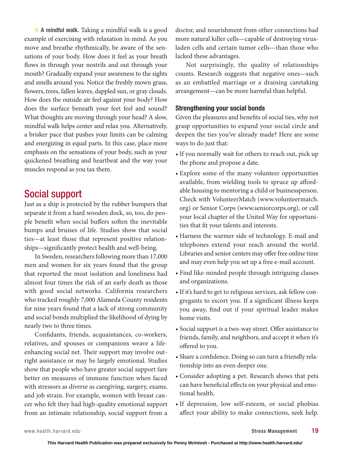■ A mindful walk. Taking a mindful walk is a good example of exercising with relaxation in mind. As you move and breathe rhythmically, be aware of the sensations of your body. How does it feel as your breath flows in through your nostrils and out through your mouth? Gradually expand your awareness to the sights and smells around you. Notice the freshly mown grass, flowers, trees, fallen leaves, dappled sun, or gray clouds. How does the outside air feel against your body? How does the surface beneath your feet feel and sound? What thoughts are moving through your head? A slow, mindful walk helps center and relax you. Alternatively, a brisker pace that pushes your limits can be calming and energizing in equal parts. In this case, place more emphasis on the sensations of your body, such as your quickened breathing and heartbeat and the way your muscles respond as you tax them.

# Social support

Just as a ship is protected by the rubber bumpers that separate it from a hard wooden dock, so, too, do people benefit when social buffers soften the inevitable bumps and bruises of life. Studies show that social ties—at least those that represent positive relationships—significantly protect health and well-being.

In Sweden, researchers following more than 17,000 men and women for six years found that the group that reported the most isolation and loneliness had almost four times the risk of an early death as those with good social networks. California researchers who tracked roughly 7,000 Alameda County residents for nine years found that a lack of strong community and social bonds multiplied the likelihood of dying by nearly two to three times.

Confidants, friends, acquaintances, co-workers, relatives, and spouses or companions weave a lifeenhancing social net. Their support may involve outright assistance or may be largely emotional. Studies show that people who have greater social support fare better on measures of immune function when faced with stressors as diverse as caregiving, surgery, exams, and job strain. For example, women with breast cancer who felt they had high-quality emotional support from an intimate relationship, social support from a

doctor, and nourishment from other connections had more natural killer cells—capable of destroying virusladen cells and certain tumor cells—than those who lacked these advantages.

Not surprisingly, the quality of relationships counts. Research suggests that negative ones—such as an embattled marriage or a draining caretaking arrangement—can be more harmful than helpful.

#### Strengthening your social bonds

Given the pleasures and benefits of social ties, why not grasp opportunities to expand your social circle and deepen the ties you've already made? Here are some ways to do just that:

- If you normally wait for others to reach out, pick up the phone and propose a date.
- Explore some of the many volunteer opportunities available, from wielding tools to spruce up affordable housing to mentoring a child or businessperson. Check with VolunteerMatch (www.volunteermatch. org) or Senior Corps (www.seniorcorps.org), or call your local chapter of the United Way for opportunities that fit your talents and interests.
- Harness the warmer side of technology. E-mail and telephones extend your reach around the world. Libraries and senior centers may offer free online time and may even help you set up a free e-mail account.
- Find like-minded people through intriguing classes and organizations.
- If it's hard to get to religious services, ask fellow congregants to escort you. If a significant illness keeps you away, find out if your spiritual leader makes home visits.
- Social support is a two-way street. Offer assistance to friends, family, and neighbors, and accept it when it's offered to you.
- Share a confidence. Doing so can turn a friendly relationship into an even deeper one.
- Consider adopting a pet. Research shows that pets can have beneficial effects on your physical and emotional health.
- If depression, low self-esteem, or social phobias affect your ability to make connections, seek help.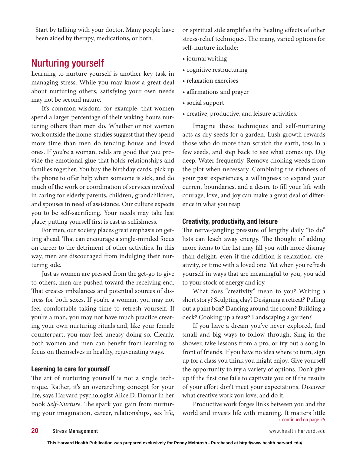Start by talking with your doctor. Many people have been aided by therapy, medications, or both.

# Nurturing yourself

Learning to nurture yourself is another key task in managing stress. While you may know a great deal about nurturing others, satisfying your own needs may not be second nature.

It's common wisdom, for example, that women spend a larger percentage of their waking hours nurturing others than men do. Whether or not women work outside the home, studies suggest that they spend more time than men do tending house and loved ones. If you're a woman, odds are good that you provide the emotional glue that holds relationships and families together. You buy the birthday cards, pick up the phone to offer help when someone is sick, and do much of the work or coordination of services involved in caring for elderly parents, children, grandchildren, and spouses in need of assistance. Our culture expects you to be self-sacrificing. Your needs may take last place; putting yourself first is cast as selfishness.

For men, our society places great emphasis on getting ahead. That can encourage a single-minded focus on career to the detriment of other activities. In this way, men are discouraged from indulging their nurturing side.

Just as women are pressed from the get-go to give to others, men are pushed toward the receiving end. That creates imbalances and potential sources of distress for both sexes. If you're a woman, you may not feel comfortable taking time to refresh yourself. If you're a man, you may not have much practice creating your own nurturing rituals and, like your female counterpart, you may feel uneasy doing so. Clearly, both women and men can benefit from learning to focus on themselves in healthy, rejuvenating ways.

#### Learning to care for yourself

The art of nurturing yourself is not a single technique. Rather, it's an overarching concept for your life, says Harvard psychologist Alice D. Domar in her book *Self-Nurture*. The spark you gain from nurturing your imagination, career, relationships, sex life, or spiritual side amplifies the healing effects of other stress-relief techniques. The many, varied options for self-nurture include:

- journal writing
- cognitive restructuring
- relaxation exercises
- affirmations and prayer
- social support
- creative, productive, and leisure activities.

Imagine these techniques and self-nurturing acts as dry seeds for a garden. Lush growth rewards those who do more than scratch the earth, toss in a few seeds, and step back to see what comes up. Dig deep. Water frequently. Remove choking weeds from the plot when necessary. Combining the richness of your past experiences, a willingness to expand your current boundaries, and a desire to fill your life with courage, love, and joy can make a great deal of difference in what you reap.

#### Creativity, productivity, and leisure

The nerve-jangling pressure of lengthy daily "to do" lists can leach away energy. The thought of adding more items to the list may fill you with more dismay than delight, even if the addition is relaxation, creativity, or time with a loved one. Yet when you refresh yourself in ways that are meaningful to you, you add to your stock of energy and joy.

What does "creativity" mean to you? Writing a short story? Sculpting clay? Designing a retreat? Pulling out a paint box? Dancing around the room? Building a deck? Cooking up a feast? Landscaping a garden?

If you have a dream you've never explored, find small and big ways to follow through. Sing in the shower, take lessons from a pro, or try out a song in front of friends. If you have no idea where to turn, sign up for a class you think you might enjoy. Give yourself the opportunity to try a variety of options. Don't give up if the first one fails to captivate you or if the results of your effort don't meet your expectations. Discover what creative work you love, and do it.

Productive work forges links between you and the world and invests life with meaning. It matters little » continued on page 25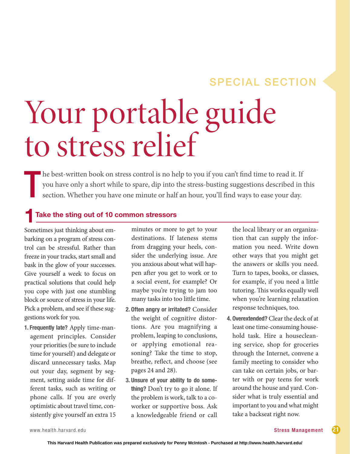# Special Section

# Your portable guide to stress relief

T he best-written book on stress control is no help to you if you can't find time to read it. If you have only a short while to spare, dip into the stress-busting suggestions described in this section. Whether you have one minute or half an hour, you'll find ways to ease your day.

#### Take the sting out of 10 common stressors

Sometimes just thinking about embarking on a program of stress control can be stressful. Rather than freeze in your tracks, start small and bask in the glow of your successes. Give yourself a week to focus on practical solutions that could help you cope with just one stumbling block or source of stress in your life. Pick a problem, and see if these suggestions work for you.

1. Frequently late? Apply time-management principles. Consider your priorities (be sure to include time for yourself) and delegate or discard unnecessary tasks. Map out your day, segment by segment, setting aside time for different tasks, such as writing or phone calls. If you are overly optimistic about travel time, consistently give yourself an extra 15

minutes or more to get to your destinations. If lateness stems from dragging your heels, consider the underlying issue. Are you anxious about what will happen after you get to work or to a social event, for example? Or maybe you're trying to jam too many tasks into too little time.

- 2. Often angry or irritated? Consider the weight of cognitive distortions. Are you magnifying a problem, leaping to conclusions, or applying emotional reasoning? Take the time to stop, breathe, reflect, and choose (see pages 24 and 28).
- 3. Unsure of your ability to do something? Don't try to go it alone. If the problem is work, talk to a coworker or supportive boss. Ask a knowledgeable friend or call

the local library or an organization that can supply the information you need. Write down other ways that you might get the answers or skills you need. Turn to tapes, books, or classes, for example, if you need a little tutoring. This works equally well when you're learning relaxation response techniques, too.

4. Overextended? Clear the deck of at least one time-consuming household task. Hire a housecleaning service, shop for groceries through the Internet, convene a family meeting to consider who can take on certain jobs, or barter with or pay teens for work around the house and yard. Consider what is truly essential and important to you and what might take a backseat right now.

21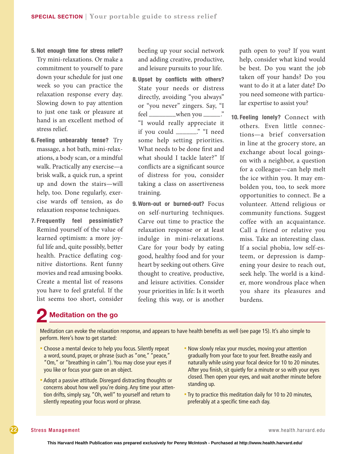- 5. Not enough time for stress relief? Try mini-relaxations. Or make a commitment to yourself to pare down your schedule for just one week so you can practice the relaxation response every day. Slowing down to pay attention to just one task or pleasure at hand is an excellent method of stress relief.
- 6. Feeling unbearably tense? Try massage, a hot bath, mini-relaxations, a body scan, or a mindful walk. Practically any exercise—a brisk walk, a quick run, a sprint up and down the stairs—will help, too. Done regularly, exercise wards off tension, as do relaxation response techniques.
- 7. Frequently feel pessimistic? Remind yourself of the value of learned optimism: a more joyful life and, quite possibly, better health. Practice deflating cognitive distortions. Rent funny movies and read amusing books. Create a mental list of reasons you have to feel grateful. If the list seems too short, consider

# Meditation on the go 2

beefing up your social network and adding creative, productive, and leisure pursuits to your life.

- 8. Upset by conflicts with others? State your needs or distress directly, avoiding "you always" or "you never" zingers. Say, "I feel \_\_\_\_\_\_\_\_when you \_\_\_\_\_." "I would really appreciate it if you could \_\_\_\_\_\_." "I need some help setting priorities. What needs to be done first and what should I tackle later?" If conflicts are a significant source of distress for you, consider taking a class on assertiveness training.
- 9. Worn-out or burned-out? Focus on self-nurturing techniques. Carve out time to practice the relaxation response or at least indulge in mini-relaxations. Care for your body by eating good, healthy food and for your heart by seeking out others. Give thought to creative, productive, and leisure activities. Consider your priorities in life: Is it worth feeling this way, or is another

path open to you? If you want help, consider what kind would be best. Do you want the job taken off your hands? Do you want to do it at a later date? Do you need someone with particular expertise to assist you?

10. Feeling lonely? Connect with others. Even little connections—a brief conversation in line at the grocery store, an exchange about local goingson with a neighbor, a question for a colleague—can help melt the ice within you. It may embolden you, too, to seek more opportunities to connect. Be a volunteer. Attend religious or community functions. Suggest coffee with an acquaintance. Call a friend or relative you miss. Take an interesting class. If a social phobia, low self-esteem, or depression is dampening your desire to reach out, seek help. The world is a kinder, more wondrous place when you share its pleasures and burdens.

Meditation can evoke the relaxation response, and appears to have health benefits as well (see page 15). It's also simple to perform. Here's how to get started:

- Choose a mental device to help you focus. Silently repeat a word, sound, prayer, or phrase (such as "one," "peace," "Om," or "breathing in calm"). You may close your eyes if you like or focus your gaze on an object.
- Adopt a passive attitude. Disregard distracting thoughts or concerns about how well you're doing. Any time your attention drifts, simply say, "Oh, well" to yourself and return to silently repeating your focus word or phrase.
- Now slowly relax your muscles, moving your attention gradually from your face to your feet. Breathe easily and naturally while using your focal device for 10 to 20 minutes. After you finish, sit quietly for a minute or so with your eyes closed. Then open your eyes, and wait another minute before standing up.
- Try to practice this meditation daily for 10 to 20 minutes, preferably at a specific time each day.

**This Harvard Health Publication was prepared exclusively for Penny McIntosh - Purchased at http://www.health.harvard.edu/**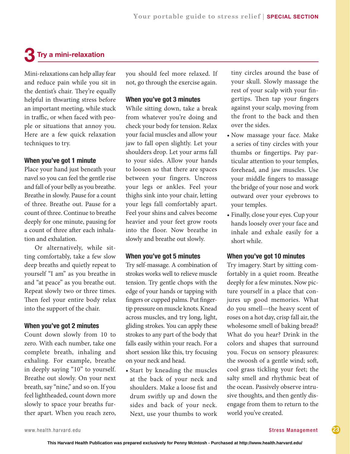# **3** Try a mini-relaxation

Mini-relaxations can help allay fear and reduce pain while you sit in the dentist's chair. They're equally helpful in thwarting stress before an important meeting, while stuck in traffic, or when faced with people or situations that annoy you. Here are a few quick relaxation techniques to try.

#### When you've got 1 minute

Place your hand just beneath your navel so you can feel the gentle rise and fall of your belly as you breathe. Breathe in slowly. Pause for a count of three. Breathe out. Pause for a count of three. Continue to breathe deeply for one minute, pausing for a count of three after each inhalation and exhalation.

Or alternatively, while sitting comfortably, take a few slow deep breaths and quietly repeat to yourself "I am" as you breathe in and "at peace" as you breathe out. Repeat slowly two or three times. Then feel your entire body relax into the support of the chair.

#### When you've got 2 minutes

Count down slowly from 10 to zero. With each number, take one complete breath, inhaling and exhaling. For example, breathe in deeply saying "10" to yourself. Breathe out slowly. On your next breath, say "nine," and so on. If you feel lightheaded, count down more slowly to space your breaths further apart. When you reach zero, you should feel more relaxed. If not, go through the exercise again.

#### When you've got 3 minutes

While sitting down, take a break from whatever you're doing and check your body for tension. Relax your facial muscles and allow your jaw to fall open slightly. Let your shoulders drop. Let your arms fall to your sides. Allow your hands to loosen so that there are spaces between your fingers. Uncross your legs or ankles. Feel your thighs sink into your chair, letting your legs fall comfortably apart. Feel your shins and calves become heavier and your feet grow roots into the floor. Now breathe in slowly and breathe out slowly.

#### When you've got 5 minutes

Try self-massage. A combination of strokes works well to relieve muscle tension. Try gentle chops with the edge of your hands or tapping with fingers or cupped palms. Put fingertip pressure on muscle knots. Knead across muscles, and try long, light, gliding strokes. You can apply these strokes to any part of the body that falls easily within your reach. For a short session like this, try focusing on your neck and head.

• Start by kneading the muscles at the back of your neck and shoulders. Make a loose fist and drum swiftly up and down the sides and back of your neck. Next, use your thumbs to work tiny circles around the base of your skull. Slowly massage the rest of your scalp with your fingertips. Then tap your fingers against your scalp, moving from the front to the back and then over the sides.

- Now massage your face. Make a series of tiny circles with your thumbs or fingertips. Pay particular attention to your temples, forehead, and jaw muscles. Use your middle fingers to massage the bridge of your nose and work outward over your eyebrows to your temples.
- Finally, close your eyes. Cup your hands loosely over your face and inhale and exhale easily for a short while.

#### When you've got 10 minutes

Try imagery. Start by sitting comfortably in a quiet room. Breathe deeply for a few minutes. Now picture yourself in a place that conjures up good memories. What do you smell—the heavy scent of roses on a hot day, crisp fall air, the wholesome smell of baking bread? What do you hear? Drink in the colors and shapes that surround you. Focus on sensory pleasures: the swoosh of a gentle wind; soft, cool grass tickling your feet; the salty smell and rhythmic beat of the ocean. Passively observe intrusive thoughts, and then gently disengage from them to return to the world you've created.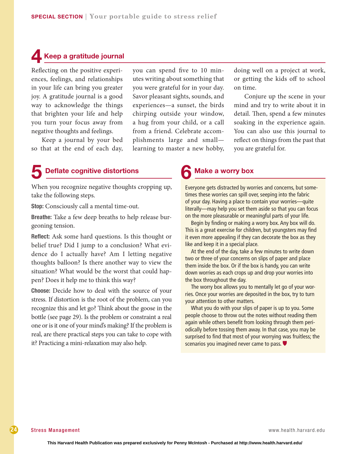# 4 Keep a gratitude journal

Reflecting on the positive experiences, feelings, and relationships in your life can bring you greater joy. A gratitude journal is a good way to acknowledge the things that brighten your life and help you turn your focus away from negative thoughts and feelings.

Keep a journal by your bed so that at the end of each day, you can spend five to 10 minutes writing about something that you were grateful for in your day. Savor pleasant sights, sounds, and experiences—a sunset, the birds chirping outside your window, a hug from your child, or a call from a friend. Celebrate accomplishments large and small learning to master a new hobby,

doing well on a project at work, or getting the kids off to school on time.

Conjure up the scene in your mind and try to write about it in detail. Then, spend a few minutes soaking in the experience again. You can also use this journal to reflect on things from the past that you are grateful for.

# Deflate cognitive distortions  $\bigcap_{n=1}^{\infty}$  Make a worry box

When you recognize negative thoughts cropping up, take the following steps.

Stop: Consciously call a mental time-out.

Breathe: Take a few deep breaths to help release burgeoning tension.

Reflect: Ask some hard questions. Is this thought or belief true? Did I jump to a conclusion? What evidence do I actually have? Am I letting negative thoughts balloon? Is there another way to view the situation? What would be the worst that could happen? Does it help me to think this way?

Choose: Decide how to deal with the source of your stress. If distortion is the root of the problem, can you recognize this and let go? Think about the goose in the bottle (see page 29). Is the problem or constraint a real one or is it one of your mind's making? If the problem is real, are there practical steps you can take to cope with it? Practicing a mini-relaxation may also help.

Everyone gets distracted by worries and concerns, but sometimes these worries can spill over, seeping into the fabric of your day. Having a place to contain your worries—quite literally—may help you set them aside so that you can focus on the more pleasurable or meaningful parts of your life.

Begin by finding or making a worry box. Any box will do. This is a great exercise for children, but youngsters may find it even more appealing if they can decorate the box as they like and keep it in a special place.

At the end of the day, take a few minutes to write down two or three of your concerns on slips of paper and place them inside the box. Or if the box is handy, you can write down worries as each crops up and drop your worries into the box throughout the day.

The worry box allows you to mentally let go of your worries. Once your worries are deposited in the box, try to turn your attention to other matters.

What you do with your slips of paper is up to you. Some people choose to throw out the notes without reading them again while others benefit from looking through them periodically before tossing them away. In that case, you may be surprised to find that most of your worrying was fruitless; the scenarios you imagined never came to pass.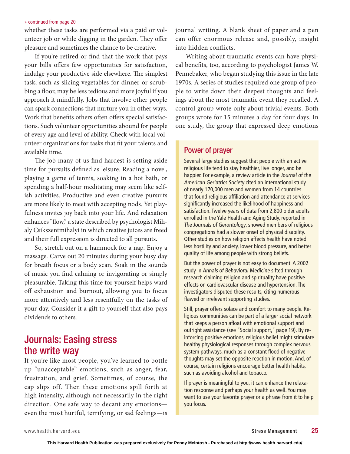#### » continued from page 20

whether these tasks are performed via a paid or volunteer job or while digging in the garden. They offer pleasure and sometimes the chance to be creative.

If you're retired or find that the work that pays your bills offers few opportunities for satisfaction, indulge your productive side elsewhere. The simplest task, such as slicing vegetables for dinner or scrubbing a floor, may be less tedious and more joyful if you approach it mindfully. Jobs that involve other people can spark connections that nurture you in other ways. Work that benefits others often offers special satisfactions. Such volunteer opportunities abound for people of every age and level of ability. Check with local volunteer organizations for tasks that fit your talents and available time.

The job many of us find hardest is setting aside time for pursuits defined as leisure. Reading a novel, playing a game of tennis, soaking in a hot bath, or spending a half-hour meditating may seem like selfish activities. Productive and even creative pursuits are more likely to meet with accepting nods. Yet playfulness invites joy back into your life. And relaxation enhances "flow," a state described by psychologist Mihaly Csikszentmihalyi in which creative juices are freed and their full expression is directed to all pursuits.

So, stretch out on a hammock for a nap. Enjoy a massage. Carve out 20 minutes during your busy day for breath focus or a body scan. Soak in the sounds of music you find calming or invigorating or simply pleasurable. Taking this time for yourself helps ward off exhaustion and burnout, allowing you to focus more attentively and less resentfully on the tasks of your day. Consider it a gift to yourself that also pays dividends to others.

# Journals: Easing stress the write way

If you're like most people, you've learned to bottle up "unacceptable" emotions, such as anger, fear, frustration, and grief. Sometimes, of course, the cap slips off. Then these emotions spill forth at high intensity, although not necessarily in the right direction. One safe way to decant any emotions even the most hurtful, terrifying, or sad feelings—is

journal writing. A blank sheet of paper and a pen can offer enormous release and, possibly, insight into hidden conflicts.

Writing about traumatic events can have physical benefits, too, according to psychologist James W. Pennebaker, who began studying this issue in the late 1970s. A series of studies required one group of people to write down their deepest thoughts and feelings about the most traumatic event they recalled. A control group wrote only about trivial events. Both groups wrote for 15 minutes a day for four days. In one study, the group that expressed deep emotions

#### Power of prayer

Several large studies suggest that people with an active religious life tend to stay healthier, live longer, and be happier. For example, a review article in the Journal of the American Geriatrics Society cited an international study of nearly 170,000 men and women from 14 countries that found religious affiliation and attendance at services significantly increased the likelihood of happiness and satisfaction. Twelve years of data from 2,800 older adults enrolled in the Yale Health and Aging Study, reported in The Journals of Gerontology, showed members of religious congregations had a slower onset of physical disability. Other studies on how religion affects health have noted less hostility and anxiety, lower blood pressure, and better quality of life among people with strong beliefs.

But the power of prayer is not easy to document. A 2002 study in Annals of Behavioral Medicine sifted through research claiming religion and spirituality have positive effects on cardiovascular disease and hypertension. The investigators disputed these results, citing numerous flawed or irrelevant supporting studies.

Still, prayer offers solace and comfort to many people. Religious communities can be part of a larger social network that keeps a person afloat with emotional support and outright assistance (see "Social support," page 19). By reinforcing positive emotions, religious belief might stimulate healthy physiological responses through complex nervous system pathways, much as a constant flood of negative thoughts may set the opposite reaction in motion. And, of course, certain religions encourage better health habits, such as avoiding alcohol and tobacco.

If prayer is meaningful to you, it can enhance the relaxation response and perhaps your health as well. You may want to use your favorite prayer or a phrase from it to help you focus.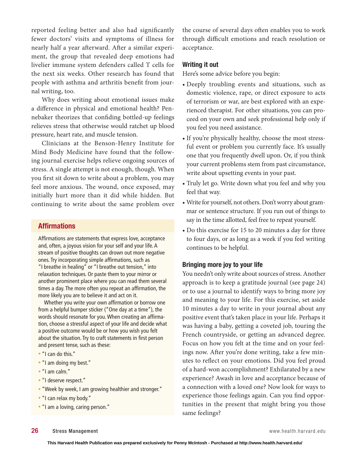reported feeling better and also had significantly fewer doctors' visits and symptoms of illness for nearly half a year afterward. After a similar experiment, the group that revealed deep emotions had livelier immune system defenders called T cells for the next six weeks. Other research has found that people with asthma and arthritis benefit from journal writing, too.

Why does writing about emotional issues make a difference in physical and emotional health? Pennebaker theorizes that confiding bottled-up feelings relieves stress that otherwise would ratchet up blood pressure, heart rate, and muscle tension.

Clinicians at the Benson-Henry Institute for Mind Body Medicine have found that the following journal exercise helps relieve ongoing sources of stress. A single attempt is not enough, though. When you first sit down to write about a problem, you may feel more anxious. The wound, once exposed, may initially hurt more than it did while hidden. But continuing to write about the same problem over

#### Affirmations

Affirmations are statements that express love, acceptance and, often, a joyous vision for your self and your life. A stream of positive thoughts can drown out more negative ones. Try incorporating simple affirmations, such as "I breathe in healing" or "I breathe out tension," into relaxation techniques. Or paste them to your mirror or another prominent place where you can read them several times a day. The more often you repeat an affirmation, the more likely you are to believe it and act on it.

Whether you write your own affirmation or borrow one from a helpful bumper sticker ("One day at a time"), the words should resonate for you. When creating an affirmation, choose a stressful aspect of your life and decide what a positive outcome would be or how you wish you felt about the situation. Try to craft statements in first person and present tense, such as these:

- "I can do this."
- "I am doing my best."
- "I am calm."
- "I deserve respect."
- "Week by week, I am growing healthier and stronger."
- "I can relax my body."
- "I am a loving, caring person."

the course of several days often enables you to work through difficult emotions and reach resolution or acceptance.

#### Writing it out

Here's some advice before you begin:

- Deeply troubling events and situations, such as domestic violence, rape, or direct exposure to acts of terrorism or war, are best explored with an experienced therapist. For other situations, you can proceed on your own and seek professional help only if you feel you need assistance.
- If you're physically healthy, choose the most stressful event or problem you currently face. It's usually one that you frequently dwell upon. Or, if you think your current problems stem from past circumstance, write about upsetting events in your past.
- Truly let go. Write down what you feel and why you feel that way.
- Write for yourself, not others. Don't worry about grammar or sentence structure. If you run out of things to say in the time allotted, feel free to repeat yourself.
- Do this exercise for 15 to 20 minutes a day for three to four days, or as long as a week if you feel writing continues to be helpful.

#### Bringing more joy to your life

You needn't only write about sources of stress. Another approach is to keep a gratitude journal (see page 24) or to use a journal to identify ways to bring more joy and meaning to your life. For this exercise, set aside 10 minutes a day to write in your journal about any positive event that's taken place in your life. Perhaps it was having a baby, getting a coveted job, touring the French countryside, or getting an advanced degree. Focus on how you felt at the time and on your feelings now. After you're done writing, take a few minutes to reflect on your emotions. Did you feel proud of a hard-won accomplishment? Exhilarated by a new experience? Awash in love and acceptance because of a connection with a loved one? Now look for ways to experience those feelings again. Can you find opportunities in the present that might bring you those same feelings?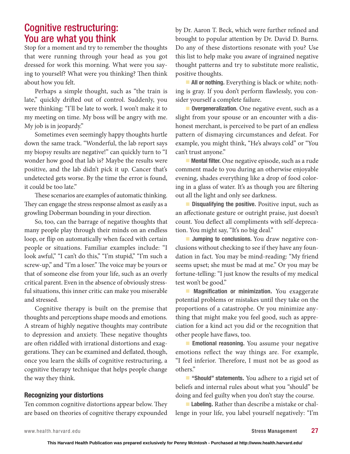# Cognitive restructuring: You are what you think

Stop for a moment and try to remember the thoughts that were running through your head as you got dressed for work this morning. What were you saying to yourself? What were you thinking? Then think about how you felt.

Perhaps a simple thought, such as "the train is late," quickly drifted out of control. Suddenly, you were thinking: "I'll be late to work. I won't make it to my meeting on time. My boss will be angry with me. My job is in jeopardy."

Sometimes even seemingly happy thoughts hurtle down the same track. "Wonderful, the lab report says my biopsy results are negative!" can quickly turn to "I wonder how good that lab is? Maybe the results were positive, and the lab didn't pick it up. Cancer that's undetected gets worse. By the time the error is found, it could be too late."

These scenarios are examples of automatic thinking. They can engage the stress response almost as easily as a growling Doberman bounding in your direction.

So, too, can the barrage of negative thoughts that many people play through their minds on an endless loop, or flip on automatically when faced with certain people or situations. Familiar examples include: "I look awful," "I can't do this," "I'm stupid," "I'm such a screw-up," and "I'm a loser." The voice may be yours or that of someone else from your life, such as an overly critical parent. Even in the absence of obviously stressful situations, this inner critic can make you miserable and stressed.

Cognitive therapy is built on the premise that thoughts and perceptions shape moods and emotions. A stream of highly negative thoughts may contribute to depression and anxiety. These negative thoughts are often riddled with irrational distortions and exaggerations. They can be examined and deflated, though, once you learn the skills of cognitive restructuring, a cognitive therapy technique that helps people change the way they think.

#### Recognizing your distortions

Ten common cognitive distortions appear below. They are based on theories of cognitive therapy expounded

by Dr. Aaron T. Beck, which were further refined and brought to popular attention by Dr. David D. Burns. Do any of these distortions resonate with you? Use this list to help make you aware of ingrained negative thought patterns and try to substitute more realistic, positive thoughts.

■ All or nothing. Everything is black or white; nothing is gray. If you don't perform flawlessly, you consider yourself a complete failure.

■ Overgeneralization. One negative event, such as a slight from your spouse or an encounter with a dishonest merchant, is perceived to be part of an endless pattern of dismaying circumstances and defeat. For example, you might think, "He's always cold" or "You can't trust anyone."

■ Mental filter. One negative episode, such as a rude comment made to you during an otherwise enjoyable evening, shades everything like a drop of food coloring in a glass of water. It's as though you are filtering out all the light and only see darkness.

■ Disqualifying the positive. Positive input, such as an affectionate gesture or outright praise, just doesn't count. You deflect all compliments with self-deprecation. You might say, "It's no big deal."

■ Jumping to conclusions. You draw negative conclusions without checking to see if they have any foundation in fact. You may be mind-reading: "My friend seems upset; she must be mad at me." Or you may be fortune-telling: "I just know the results of my medical test won't be good."

■ Magnification or minimization. You exaggerate potential problems or mistakes until they take on the proportions of a catastrophe. Or you minimize anything that might make you feel good, such as appreciation for a kind act you did or the recognition that other people have flaws, too.

■ Emotional reasoning. You assume your negative emotions reflect the way things are. For example, "I feel inferior. Therefore, I must not be as good as others."

■ "Should" statements. You adhere to a rigid set of beliefs and internal rules about what you "should" be doing and feel guilty when you don't stay the course.

■ **Labeling**. Rather than describe a mistake or challenge in your life, you label yourself negatively: "I'm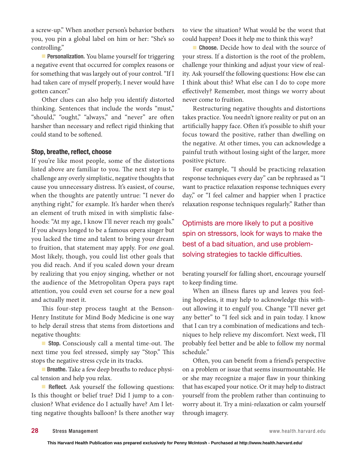a screw-up." When another person's behavior bothers you, you pin a global label on him or her: "She's so controlling."

■ Personalization. You blame yourself for triggering a negative event that occurred for complex reasons or for something that was largely out of your control. "If I had taken care of myself properly, I never would have gotten cancer."

Other clues can also help you identify distorted thinking. Sentences that include the words "must," "should," "ought," "always," and "never" are often harsher than necessary and reflect rigid thinking that could stand to be softened.

#### Stop, breathe, reflect, choose

If you're like most people, some of the distortions listed above are familiar to you. The next step is to challenge any overly simplistic, negative thoughts that cause you unnecessary distress. It's easiest, of course, when the thoughts are patently untrue: "I never do anything right," for example. It's harder when there's an element of truth mixed in with simplistic falsehoods: "At my age, I know I'll never reach my goals." If you always longed to be a famous opera singer but you lacked the time and talent to bring your dream to fruition, that statement may apply. For *one* goal. Most likely, though, you could list other goals that you did reach. And if you scaled down your dream by realizing that you enjoy singing, whether or not the audience of the Metropolitan Opera pays rapt attention, you could even set course for a new goal and actually meet it.

This four-step process taught at the Benson-Henry Institute for Mind Body Medicine is one way to help derail stress that stems from distortions and negative thoughts:

■ Stop. Consciously call a mental time-out. The next time you feel stressed, simply say "Stop." This stops the negative stress cycle in its tracks.

■ Breathe. Take a few deep breaths to reduce physical tension and help you relax.

■ Reflect. Ask yourself the following questions: Is this thought or belief true? Did I jump to a conclusion? What evidence do I actually have? Am I letting negative thoughts balloon? Is there another way to view the situation? What would be the worst that could happen? Does it help me to think this way?

■ Choose. Decide how to deal with the source of your stress. If a distortion is the root of the problem, challenge your thinking and adjust your view of reality. Ask yourself the following questions: How else can I think about this? What else can I do to cope more effectively? Remember, most things we worry about never come to fruition.

Restructuring negative thoughts and distortions takes practice. You needn't ignore reality or put on an artificially happy face. Often it's possible to shift your focus toward the positive, rather than dwelling on the negative. At other times, you can acknowledge a painful truth without losing sight of the larger, more positive picture.

For example, "I should be practicing relaxation response techniques every day" can be rephrased as "I want to practice relaxation response techniques every day," or "I feel calmer and happier when I practice relaxation response techniques regularly." Rather than

Optimists are more likely to put a positive spin on stressors, look for ways to make the best of a bad situation, and use problemsolving strategies to tackle difficulties.

berating yourself for falling short, encourage yourself to keep finding time.

When an illness flares up and leaves you feeling hopeless, it may help to acknowledge this without allowing it to engulf you. Change "I'll never get any better" to "I feel sick and in pain today. I know that I can try a combination of medications and techniques to help relieve my discomfort. Next week, I'll probably feel better and be able to follow my normal schedule."

Often, you can benefit from a friend's perspective on a problem or issue that seems insurmountable. He or she may recognize a major flaw in your thinking that has escaped your notice. Or it may help to distract yourself from the problem rather than continuing to worry about it. Try a mini-relaxation or calm yourself through imagery.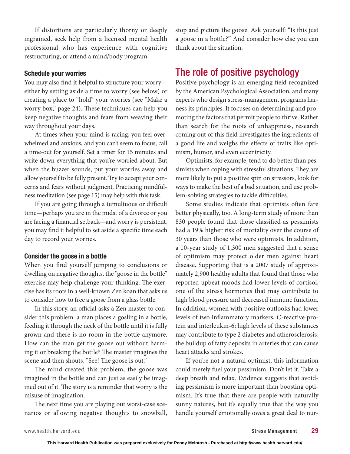If distortions are particularly thorny or deeply ingrained, seek help from a licensed mental health professional who has experience with cognitive restructuring, or attend a mind/body program.

#### Schedule your worries

You may also find it helpful to structure your worry either by setting aside a time to worry (see below) or creating a place to "hold" your worries (see "Make a worry box," page 24). These techniques can help you keep negative thoughts and fears from weaving their way throughout your days.

At times when your mind is racing, you feel overwhelmed and anxious, and you can't seem to focus, call a time-out for yourself. Set a timer for 15 minutes and write down everything that you're worried about. But when the buzzer sounds, put your worries away and allow yourself to be fully present. Try to accept your concerns and fears without judgment. Practicing mindfulness meditation (see page 15) may help with this task.

If you are going through a tumultuous or difficult time—perhaps you are in the midst of a divorce or you are facing a financial setback—and worry is persistent, you may find it helpful to set aside a specific time each day to record your worries.

#### Consider the goose in a bottle

When you find yourself jumping to conclusions or dwelling on negative thoughts, the "goose in the bottle" exercise may help challenge your thinking. The exercise has its roots in a well-known Zen koan that asks us to consider how to free a goose from a glass bottle.

In this story, an official asks a Zen master to consider this problem: a man places a gosling in a bottle, feeding it through the neck of the bottle until it is fully grown and there is no room in the bottle anymore. How can the man get the goose out without harming it or breaking the bottle? The master imagines the scene and then shouts, "See! The goose is out."

The mind created this problem; the goose was imagined in the bottle and can just as easily be imagined out of it. The story is a reminder that worry is the misuse of imagination.

The next time you are playing out worst-case scenarios or allowing negative thoughts to snowball,

stop and picture the goose. Ask yourself: "Is this just a goose in a bottle?" And consider how else you can think about the situation.

# The role of positive psychology

Positive psychology is an emerging field recognized by the American Psychological Association, and many experts who design stress-management programs harness its principles. It focuses on determining and promoting the factors that permit people to thrive. Rather than search for the roots of unhappiness, research coming out of this field investigates the ingredients of a good life and weighs the effects of traits like optimism, humor, and even eccentricity.

Optimists, for example, tend to do better than pessimists when coping with stressful situations. They are more likely to put a positive spin on stressors, look for ways to make the best of a bad situation, and use problem-solving strategies to tackle difficulties.

Some studies indicate that optimists often fare better physically, too. A long-term study of more than 830 people found that those classified as pessimists had a 19% higher risk of mortality over the course of 30 years than those who were optimists. In addition, a 10-year study of 1,300 men suggested that a sense of optimism may protect older men against heart disease. Supporting that is a 2007 study of approximately 2,900 healthy adults that found that those who reported upbeat moods had lower levels of cortisol, one of the stress hormones that may contribute to high blood pressure and decreased immune function. In addition, women with positive outlooks had lower levels of two inflammatory markers, C-reactive protein and interleukin-6; high levels of these substances may contribute to type 2 diabetes and atherosclerosis, the buildup of fatty deposits in arteries that can cause heart attacks and strokes.

If you're not a natural optimist, this information could merely fuel your pessimism. Don't let it. Take a deep breath and relax. Evidence suggests that avoiding pessimism is more important than boosting optimism. It's true that there are people with naturally sunny natures, but it's equally true that the way you handle yourself emotionally owes a great deal to nur-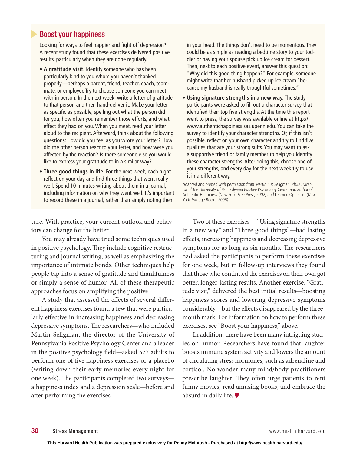#### Boost your happiness

Looking for ways to feel happier and fight off depression? A recent study found that these exercises delivered positive results, particularly when they are done regularly.

- **A gratitude visit.** Identify someone who has been particularly kind to you whom you haven't thanked properly—perhaps a parent, friend, teacher, coach, teammate, or employer. Try to choose someone you can meet with in person. In the next week, write a letter of gratitude to that person and then hand-deliver it. Make your letter as specific as possible, spelling out what the person did for you, how often you remember those efforts, and what effect they had on you. When you meet, read your letter aloud to the recipient. Afterward, think about the following questions: How did you feel as you wrote your letter? How did the other person react to your letter, and how were you affected by the reaction? Is there someone else you would like to express your gratitude to in a similar way?
- **Three good things in life.** For the next week, each night reflect on your day and find three things that went really well. Spend 10 minutes writing about them in a journal, including information on why they went well. It's important to record these in a journal, rather than simply noting them

in your head. The things don't need to be momentous. They could be as simple as reading a bedtime story to your toddler or having your spouse pick up ice cream for dessert. Then, next to each positive event, answer this question: "Why did this good thing happen?" For example, someone might write that her husband picked up ice cream "because my husband is really thoughtful sometimes."

• **Using signature strengths in a new way.** The study participants were asked to fill out a character survey that identified their top five strengths. At the time this report went to press, the survey was available online at http:// www.authentichappiness.sas.upenn.edu. You can take the survey to identify your character strengths. Or, if this isn't possible, reflect on your own character and try to find five qualities that are your strong suits. You may want to ask a supportive friend or family member to help you identify these character strengths. After doing this, choose one of your strengths, and every day for the next week try to use it in a different way.

Adapted and printed with permission from Martin E.P. Seligman, Ph.D., Director of the University of Pennsylvania Positive Psychology Center and author of Authentic Happiness (New York: Free Press, 2002) and Learned Optimism (New York: Vintage Books, 2006).

ture. With practice, your current outlook and behaviors can change for the better.

You may already have tried some techniques used in positive psychology. They include cognitive restructuring and journal writing, as well as emphasizing the importance of intimate bonds. Other techniques help people tap into a sense of gratitude and thankfulness or simply a sense of humor. All of these therapeutic approaches focus on amplifying the positive.

A study that assessed the effects of several different happiness exercises found a few that were particularly effective in increasing happiness and decreasing depressive symptoms. The researchers—who included Martin Seligman, the director of the University of Pennsylvania Positive Psychology Center and a leader in the positive psychology field*—*asked 577 adults to perform one of five happiness exercises or a placebo (writing down their early memories every night for one week). The participants completed two surveys a happiness index and a depression scale—before and after performing the exercises.

Two of these exercises —"Using signature strengths in a new way" and "Three good things"—had lasting effects, increasing happiness and decreasing depressive symptoms for as long as six months. The researchers had asked the participants to perform these exercises for one week, but in follow-up interviews they found that those who continued the exercises on their own got better, longer-lasting results. Another exercise, "Gratitude visit," delivered the best initial results—boosting happiness scores and lowering depressive symptoms considerably—but the effects disappeared by the threemonth mark. For information on how to perform these exercises, see "Boost your happiness," above.

In addition, there have been many intriguing studies on humor. Researchers have found that laughter boosts immune system activity and lowers the amount of circulating stress hormones, such as adrenaline and cortisol. No wonder many mind/body practitioners prescribe laughter. They often urge patients to rent funny movies, read amusing books, and embrace the absurd in daily life.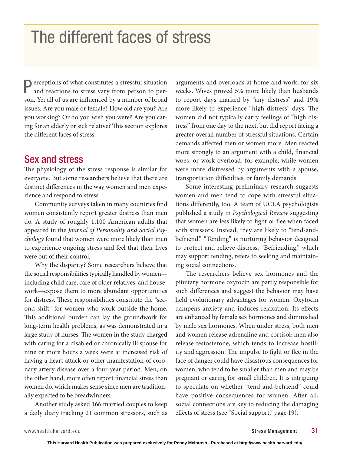# The different faces of stress

**P** erceptions of what constitutes a stressful situation and reactions to stress vary from person to person. Yet all of us are influenced by a number of broad issues. Are you male or female? How old are you? Are you working? Or do you wish you were? Are you caring for an elderly or sick relative? This section explores the different faces of stress.

# Sex and stress

The physiology of the stress response is similar for everyone. But some researchers believe that there are distinct differences in the way women and men experience and respond to stress.

Community surveys taken in many countries find women consistently report greater distress than men do. A study of roughly 1,100 American adults that appeared in the *Journal of Personality and Social Psychology* found that women were more likely than men to experience ongoing stress and feel that their lives were out of their control.

Why the disparity? Some researchers believe that the social responsibilities typically handled by women including child care, care of older relatives, and housework—expose them to more abundant opportunities for distress. These responsibilities constitute the "second shift" for women who work outside the home. This additional burden can lay the groundwork for long-term health problems, as was demonstrated in a large study of nurses. The women in the study charged with caring for a disabled or chronically ill spouse for nine or more hours a week were at increased risk of having a heart attack or other manifestation of coronary artery disease over a four-year period. Men, on the other hand, more often report financial stress than women do, which makes sense since men are traditionally expected to be breadwinners.

Another study asked 166 married couples to keep a daily diary tracking 21 common stressors, such as

arguments and overloads at home and work, for six weeks. Wives proved 5% more likely than husbands to report days marked by "any distress" and 19% more likely to experience "high-distress" days. The women did not typically carry feelings of "high distress" from one day to the next, but did report facing a greater overall number of stressful situations. Certain demands affected men or women more. Men reacted more strongly to an argument with a child, financial woes, or work overload, for example, while women were more distressed by arguments with a spouse, transportation difficulties, or family demands.

Some interesting preliminary research suggests women and men tend to cope with stressful situations differently, too. A team of UCLA psychologists published a study in *Psychological Review* suggesting that women are less likely to fight or flee when faced with stressors. Instead, they are likely to "tend-andbefriend." "Tending" is nurturing behavior designed to protect and relieve distress. "Befriending," which may support tending, refers to seeking and maintaining social connections.

The researchers believe sex hormones and the pituitary hormone oxytocin are partly responsible for such differences and suggest the behavior may have held evolutionary advantages for women. Oxytocin dampens anxiety and induces relaxation. Its effects are enhanced by female sex hormones and diminished by male sex hormones. When under stress, both men and women release adrenaline and cortisol; men also release testosterone, which tends to increase hostility and aggression. The impulse to fight or flee in the face of danger could have disastrous consequences for women, who tend to be smaller than men and may be pregnant or caring for small children. It is intriguing to speculate on whether "tend-and-befriend" could have positive consequences for women. After all, social connections are key to reducing the damaging effects of stress (see "Social support," page 19).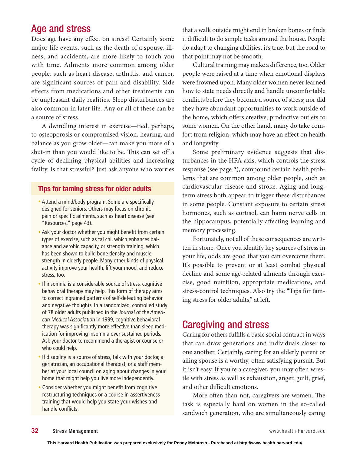# Age and stress

Does age have any effect on stress? Certainly some major life events, such as the death of a spouse, illness, and accidents, are more likely to touch you with time. Ailments more common among older people, such as heart disease, arthritis, and cancer, are significant sources of pain and disability. Side effects from medications and other treatments can be unpleasant daily realities. Sleep disturbances are also common in later life. Any or all of these can be a source of stress.

A dwindling interest in exercise—tied, perhaps, to osteoporosis or compromised vision, hearing, and balance as you grow older—can make you more of a shut-in than you would like to be. This can set off a cycle of declining physical abilities and increasing frailty. Is that stressful? Just ask anyone who worries

#### Tips for taming stress for older adults

- Attend a mind/body program. Some are specifically designed for seniors. Others may focus on chronic pain or specific ailments, such as heart disease (see "Resources," page 43).
- Ask your doctor whether you might benefit from certain types of exercise, such as tai chi, which enhances balance and aerobic capacity, or strength training, which has been shown to build bone density and muscle strength in elderly people. Many other kinds of physical activity improve your health, lift your mood, and reduce stress, too.
- If insomnia is a considerable source of stress, cognitive behavioral therapy may help. This form of therapy aims to correct ingrained patterns of self-defeating behavior and negative thoughts. In a randomized, controlled study of 78 older adults published in the Journal of the American Medical Association in 1999, cognitive behavioral therapy was significantly more effective than sleep medication for improving insomnia over sustained periods. Ask your doctor to recommend a therapist or counselor who could help.
- If disability is a source of stress, talk with your doctor, a geriatrician, an occupational therapist, or a staff member at your local council on aging about changes in your home that might help you live more independently.
- Consider whether you might benefit from cognitive restructuring techniques or a course in assertiveness training that would help you state your wishes and handle conflicts.

that a walk outside might end in broken bones or finds it difficult to do simple tasks around the house. People do adapt to changing abilities, it's true, but the road to that point may not be smooth.

Cultural training may make a difference, too. Older people were raised at a time when emotional displays were frowned upon. Many older women never learned how to state needs directly and handle uncomfortable conflicts before they become a source of stress; nor did they have abundant opportunities to work outside of the home, which offers creative, productive outlets to some women. On the other hand, many do take comfort from religion, which may have an effect on health and longevity.

Some preliminary evidence suggests that disturbances in the HPA axis, which controls the stress response (see page 2), compound certain health problems that are common among older people, such as cardiovascular disease and stroke. Aging and longterm stress both appear to trigger these disturbances in some people. Constant exposure to certain stress hormones, such as cortisol, can harm nerve cells in the hippocampus, potentially affecting learning and memory processing.

Fortunately, not all of these consequences are written in stone. Once you identify key sources of stress in your life, odds are good that you can overcome them. It's possible to prevent or at least combat physical decline and some age-related ailments through exercise, good nutrition, appropriate medications, and stress-control techniques. Also try the "Tips for taming stress for older adults," at left.

# Caregiving and stress

Caring for others fulfills a basic social contract in ways that can draw generations and individuals closer to one another. Certainly, caring for an elderly parent or ailing spouse is a worthy, often satisfying pursuit. But it isn't easy. If you're a caregiver, you may often wrestle with stress as well as exhaustion, anger, guilt, grief, and other difficult emotions.

More often than not, caregivers are women. The task is especially hard on women in the so-called sandwich generation, who are simultaneously caring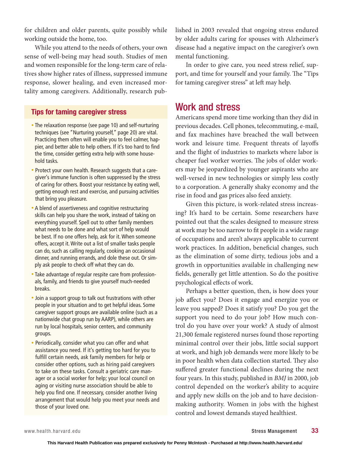for children and older parents, quite possibly while working outside the home, too.

While you attend to the needs of others, your own sense of well-being may head south. Studies of men and women responsible for the long-term care of relatives show higher rates of illness, suppressed immune response, slower healing, and even increased mortality among caregivers. Additionally, research pub-

#### Tips for taming caregiver stress

- The relaxation response (see page 10) and self-nurturing techniques (see "Nurturing yourself," page 20) are vital. Practicing them often will enable you to feel calmer, happier, and better able to help others. If it's too hard to find the time, consider getting extra help with some household tasks.
- Protect your own health. Research suggests that a caregiver's immune function is often suppressed by the stress of caring for others. Boost your resistance by eating well, getting enough rest and exercise, and pursuing activities that bring you pleasure.
- A blend of assertiveness and cognitive restructuring skills can help you share the work, instead of taking on everything yourself. Spell out to other family members what needs to be done and what sort of help would be best. If no one offers help, ask for it. When someone offers, accept it. Write out a list of smaller tasks people can do, such as calling regularly, cooking an occasional dinner, and running errands, and dole these out. Or simply ask people to check off what they can do.
- Take advantage of regular respite care from professionals, family, and friends to give yourself much-needed breaks.
- Join a support group to talk out frustrations with other people in your situation and to get helpful ideas. Some caregiver support groups are available online (such as a nationwide chat group run by AARP), while others are run by local hospitals, senior centers, and community groups.
- Periodically, consider what you can offer and what assistance you need. If it's getting too hard for you to fulfill certain needs, ask family members for help or consider other options, such as hiring paid caregivers to take on these tasks. Consult a geriatric care manager or a social worker for help; your local council on aging or visiting nurse association should be able to help you find one. If necessary, consider another living arrangement that would help you meet your needs and those of your loved one.

lished in 2003 revealed that ongoing stress endured by older adults caring for spouses with Alzheimer's disease had a negative impact on the caregiver's own mental functioning.

In order to give care, you need stress relief, support, and time for yourself and your family. The "Tips for taming caregiver stress" at left may help.

# Work and stress

Americans spend more time working than they did in previous decades. Cell phones, telecommuting, e-mail, and fax machines have breached the wall between work and leisure time. Frequent threats of layoffs and the flight of industries to markets where labor is cheaper fuel worker worries. The jobs of older workers may be jeopardized by younger aspirants who are well-versed in new technologies or simply less costly to a corporation. A generally shaky economy and the rise in food and gas prices also feed anxiety.

Given this picture, is work-related stress increasing? It's hard to be certain. Some researchers have pointed out that the scales designed to measure stress at work may be too narrow to fit people in a wide range of occupations and aren't always applicable to current work practices. In addition, beneficial changes, such as the elimination of some dirty, tedious jobs and a growth in opportunities available in challenging new fields, generally get little attention. So do the positive psychological effects of work.

Perhaps a better question, then, is how does your job affect you? Does it engage and energize you or leave you sapped? Does it satisfy you? Do you get the support you need to do your job? How much control do you have over your work? A study of almost 21,300 female registered nurses found those reporting minimal control over their jobs, little social support at work, and high job demands were more likely to be in poor health when data collection started. They also suffered greater functional declines during the next four years. In this study, published in *BMJ* in 2000, job control depended on the worker's ability to acquire and apply new skills on the job and to have decisionmaking authority. Women in jobs with the highest control and lowest demands stayed healthiest.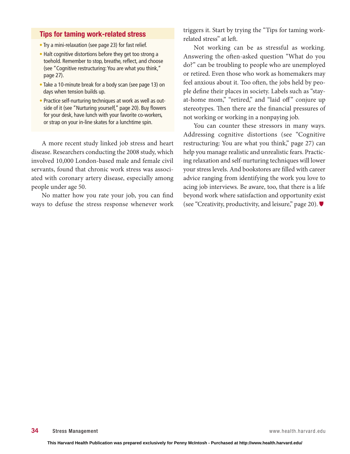#### Tips for taming work-related stress

- Try a mini-relaxation (see page 23) for fast relief.
- Halt cognitive distortions before they get too strong a toehold. Remember to stop, breathe, reflect, and choose (see "Cognitive restructuring: You are what you think," page 27).
- Take a 10-minute break for a body scan (see page 13) on days when tension builds up.
- Practice self-nurturing techniques at work as well as outside of it (see "Nurturing yourself," page 20). Buy flowers for your desk, have lunch with your favorite co-workers, or strap on your in-line skates for a lunchtime spin.

A more recent study linked job stress and heart disease. Researchers conducting the 2008 study, which involved 10,000 London-based male and female civil servants, found that chronic work stress was associated with coronary artery disease, especially among people under age 50.

No matter how you rate your job, you can find ways to defuse the stress response whenever work triggers it. Start by trying the "Tips for taming workrelated stress" at left.

Not working can be as stressful as working. Answering the often-asked question "What do you do?" can be troubling to people who are unemployed or retired. Even those who work as homemakers may feel anxious about it. Too often, the jobs held by people define their places in society. Labels such as "stayat-home mom," "retired," and "laid off" conjure up stereotypes. Then there are the financial pressures of not working or working in a nonpaying job.

You can counter these stressors in many ways. Addressing cognitive distortions (see "Cognitive restructuring: You are what you think," page 27) can help you manage realistic and unrealistic fears. Practicing relaxation and self-nurturing techniques will lower your stress levels. And bookstores are filled with career advice ranging from identifying the work you love to acing job interviews. Be aware, too, that there is a life beyond work where satisfaction and opportunity exist (see "Creativity, productivity, and leisure," page 20).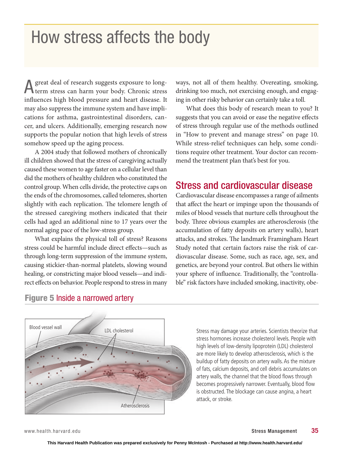# How stress affects the body

great deal of research suggests exposure to longterm stress can harm your body. Chronic stress influences high blood pressure and heart disease. It may also suppress the immune system and have implications for asthma, gastrointestinal disorders, cancer, and ulcers. Additionally, emerging research now supports the popular notion that high levels of stress somehow speed up the aging process.

A 2004 study that followed mothers of chronically ill children showed that the stress of caregiving actually caused these women to age faster on a cellular level than did the mothers of healthy children who constituted the control group. When cells divide, the protective caps on the ends of the chromosomes, called telomeres, shorten slightly with each replication. The telomere length of the stressed caregiving mothers indicated that their cells had aged an additional nine to 17 years over the normal aging pace of the low-stress group.

What explains the physical toll of stress? Reasons stress could be harmful include direct effects—such as through long-term suppression of the immune system, causing stickier-than-normal platelets, slowing wound healing, or constricting major blood vessels—and indirect effects on behavior. People respond to stress in many ways, not all of them healthy. Overeating, smoking, drinking too much, not exercising enough, and engaging in other risky behavior can certainly take a toll.

What does this body of research mean to you? It suggests that you can avoid or ease the negative effects of stress through regular use of the methods outlined in "How to prevent and manage stress" on page 10. While stress-relief techniques can help, some conditions require other treatment. Your doctor can recommend the treatment plan that's best for you.

# Stress and cardiovascular disease

Cardiovascular disease encompasses a range of ailments that affect the heart or impinge upon the thousands of miles of blood vessels that nurture cells throughout the body. Three obvious examples are atherosclerosis (the accumulation of fatty deposits on artery walls), heart attacks, and strokes. The landmark Framingham Heart Study noted that certain factors raise the risk of cardiovascular disease. Some, such as race, age, sex, and genetics, are beyond your control. But others lie within your sphere of influence. Traditionally, the "controllable" risk factors have included smoking, inactivity, obe-



## Figure 5 Inside a narrowed artery

Stress may damage your arteries. Scientists theorize that stress hormones increase cholesterol levels. People with high levels of low-density lipoprotein (LDL) cholesterol are more likely to develop atherosclerosis, which is the buildup of fatty deposits on artery walls. As the mixture of fats, calcium deposits, and cell debris accumulates on artery walls, the channel that the blood flows through becomes progressively narrower. Eventually, blood flow is obstructed. The blockage can cause angina, a heart attack, or stroke.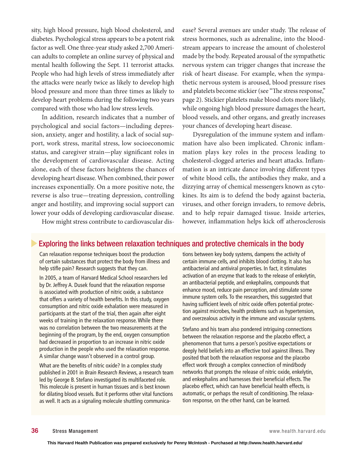sity, high blood pressure, high blood cholesterol, and diabetes. Psychological stress appears to be a potent risk factor as well. One three-year study asked 2,700 American adults to complete an online survey of physical and mental health following the Sept. 11 terrorist attacks. People who had high levels of stress immediately after the attacks were nearly twice as likely to develop high blood pressure and more than three times as likely to develop heart problems during the following two years compared with those who had low stress levels.

In addition, research indicates that a number of psychological and social factors—including depression, anxiety, anger and hostility, a lack of social support, work stress, marital stress, low socioeconomic status, and caregiver strain—play significant roles in the development of cardiovascular disease. Acting alone, each of these factors heightens the chances of developing heart disease. When combined, their power increases exponentially. On a more positive note, the reverse is also true—treating depression, controlling anger and hostility, and improving social support can lower your odds of developing cardiovascular disease.

How might stress contribute to cardiovascular dis-

ease? Several avenues are under study. The release of stress hormones, such as adrenaline, into the bloodstream appears to increase the amount of cholesterol made by the body. Repeated arousal of the sympathetic nervous system can trigger changes that increase the risk of heart disease. For example, when the sympathetic nervous system is aroused, blood pressure rises and platelets become stickier (see "The stress response," page 2). Stickier platelets make blood clots more likely, while ongoing high blood pressure damages the heart, blood vessels, and other organs, and greatly increases your chances of developing heart disease.

Dysregulation of the immune system and inflammation have also been implicated. Chronic inflammation plays key roles in the process leading to cholesterol-clogged arteries and heart attacks. Inflammation is an intricate dance involving different types of white blood cells, the antibodies they make, and a dizzying array of chemical messengers known as cytokines. Its aim is to defend the body against bacteria, viruses, and other foreign invaders, to remove debris, and to help repair damaged tissue. Inside arteries, however, inflammation helps kick off atherosclerosis

### Exploring the links between relaxation techniques and protective chemicals in the body

Can relaxation response techniques boost the production of certain substances that protect the body from illness and help stifle pain? Research suggests that they can.

In 2005, a team of Harvard Medical School researchers led by Dr. Jeffrey A. Dusek found that the relaxation response is associated with production of nitric oxide, a substance that offers a variety of health benefits. In this study, oxygen consumption and nitric oxide exhalation were measured in participants at the start of the trial, then again after eight weeks of training in the relaxation response. While there was no correlation between the two measurements at the beginning of the program, by the end, oxygen consumption had decreased in proportion to an increase in nitric oxide production in the people who used the relaxation response. A similar change wasn't observed in a control group.

What are the benefits of nitric oxide? In a complex study published in 2001 in Brain Research Reviews, a research team led by George B. Stefano investigated its multifaceted role. This molecule is present in human tissues and is best known for dilating blood vessels. But it performs other vital functions as well. It acts as a signaling molecule shuttling communica-

tions between key body systems, dampens the activity of certain immune cells, and inhibits blood clotting. It also has antibacterial and antiviral properties. In fact, it stimulates activation of an enzyme that leads to the release of enkelytin, an antibacterial peptide, and enkephalins, compounds that enhance mood, reduce pain perception, and stimulate some immune system cells. To the researchers, this suggested that having sufficient levels of nitric oxide offers potential protection against microbes, health problems such as hypertension, and overzealous activity in the immune and vascular systems.

Stefano and his team also pondered intriguing connections between the relaxation response and the placebo effect, a phenomenon that turns a person's positive expectations or deeply held beliefs into an effective tool against illness. They posited that both the relaxation response and the placebo effect work through a complex connection of mind/body networks that prompts the release of nitric oxide, enkelytin, and enkephalins and harnesses their beneficial effects. The placebo effect, which can have beneficial health effects, is automatic, or perhaps the result of conditioning. The relaxation response, on the other hand, can be learned.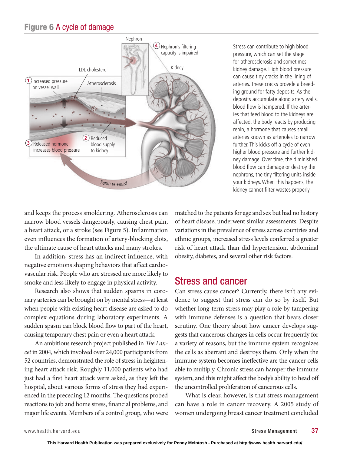## Figure 6 A cycle of damage



Stress can contribute to high blood pressure, which can set the stage for atherosclerosis and sometimes kidney damage. High blood pressure can cause tiny cracks in the lining of arteries. These cracks provide a breeding ground for fatty deposits. As the deposits accumulate along artery walls, blood flow is hampered. If the arteries that feed blood to the kidneys are affected, the body reacts by producing renin, a hormone that causes small arteries known as arterioles to narrow further. This kicks off a cycle of even higher blood pressure and further kidney damage. Over time, the diminished blood flow can damage or destroy the nephrons, the tiny filtering units inside your kidneys. When this happens, the kidney cannot filter wastes properly.

and keeps the process smoldering. Atherosclerosis can narrow blood vessels dangerously, causing chest pain, a heart attack, or a stroke (see Figure 5). Inflammation even influences the formation of artery-blocking clots, the ultimate cause of heart attacks and many strokes.

In addition, stress has an indirect influence, with negative emotions shaping behaviors that affect cardiovascular risk. People who are stressed are more likely to smoke and less likely to engage in physical activity.

Research also shows that sudden spasms in coronary arteries can be brought on by mental stress—at least when people with existing heart disease are asked to do complex equations during laboratory experiments. A sudden spasm can block blood flow to part of the heart, causing temporary chest pain or even a heart attack.

An ambitious research project published in *The Lancet* in 2004, which involved over 24,000 participants from 52 countries, demonstrated the role of stress in heightening heart attack risk. Roughly 11,000 patients who had just had a first heart attack were asked, as they left the hospital, about various forms of stress they had experienced in the preceding 12 months. The questions probed reactions to job and home stress, financial problems, and major life events. Members of a control group, who were

matched to the patients for age and sex but had no history of heart disease, underwent similar assessments. Despite variations in the prevalence of stress across countries and ethnic groups, increased stress levels conferred a greater risk of heart attack than did hypertension, abdominal obesity, diabetes, and several other risk factors.

# Stress and cancer

Can stress cause cancer? Currently, there isn't any evidence to suggest that stress can do so by itself. But whether long-term stress may play a role by tampering with immune defenses is a question that bears closer scrutiny. One theory about how cancer develops suggests that cancerous changes in cells occur frequently for a variety of reasons, but the immune system recognizes the cells as aberrant and destroys them. Only when the immune system becomes ineffective are the cancer cells able to multiply. Chronic stress can hamper the immune system, and this might affect the body's ability to head off the uncontrolled proliferation of cancerous cells.

What is clear, however, is that stress management can have a role in cancer recovery. A 2005 study of women undergoing breast cancer treatment concluded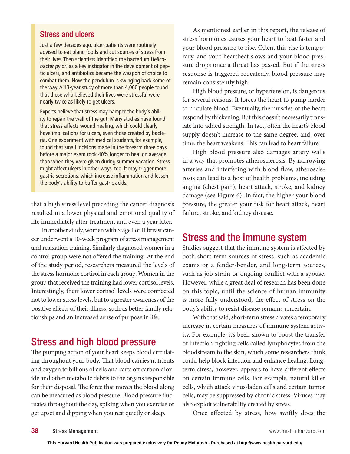#### Stress and ulcers

Just a few decades ago, ulcer patients were routinely advised to eat bland foods and cut sources of stress from their lives. Then scientists identified the bacterium Helicobacter pylori as a key instigator in the development of peptic ulcers, and antibiotics became the weapon of choice to combat them. Now the pendulum is swinging back some of the way. A 13-year study of more than 4,000 people found that those who believed their lives were stressful were nearly twice as likely to get ulcers.

Experts believe that stress may hamper the body's ability to repair the wall of the gut. Many studies have found that stress affects wound healing, which could clearly have implications for ulcers, even those created by bacteria. One experiment with medical students, for example, found that small incisions made in the forearm three days before a major exam took 40% longer to heal on average than when they were given during summer vacation. Stress might affect ulcers in other ways, too. It may trigger more gastric secretions, which increase inflammation and lessen the body's ability to buffer gastric acids.

that a high stress level preceding the cancer diagnosis resulted in a lower physical and emotional quality of life immediately after treatment and even a year later.

In another study, women with Stage I or II breast cancer underwent a 10-week program of stress management and relaxation training. Similarly diagnosed women in a control group were not offered the training. At the end of the study period, researchers measured the levels of the stress hormone cortisol in each group. Women in the group that received the training had lower cortisol levels. Interestingly, their lower cortisol levels were connected not to lower stress levels, but to a greater awareness of the positive effects of their illness, such as better family relationships and an increased sense of purpose in life.

# Stress and high blood pressure

The pumping action of your heart keeps blood circulating throughout your body. That blood carries nutrients and oxygen to billions of cells and carts off carbon dioxide and other metabolic debris to the organs responsible for their disposal. The force that moves the blood along can be measured as blood pressure. Blood pressure fluctuates throughout the day, spiking when you exercise or get upset and dipping when you rest quietly or sleep.

As mentioned earlier in this report, the release of stress hormones causes your heart to beat faster and your blood pressure to rise. Often, this rise is temporary, and your heartbeat slows and your blood pressure drops once a threat has passed. But if the stress response is triggered repeatedly, blood pressure may remain consistently high.

High blood pressure, or hypertension, is dangerous for several reasons. It forces the heart to pump harder to circulate blood. Eventually, the muscles of the heart respond by thickening. But this doesn't necessarily translate into added strength. In fact, often the heart's blood supply doesn't increase to the same degree, and, over time, the heart weakens. This can lead to heart failure.

High blood pressure also damages artery walls in a way that promotes atherosclerosis. By narrowing arteries and interfering with blood flow, atherosclerosis can lead to a host of health problems, including angina (chest pain), heart attack, stroke, and kidney damage (see Figure 6). In fact, the higher your blood pressure, the greater your risk for heart attack, heart failure, stroke, and kidney disease.

# Stress and the immune system

Studies suggest that the immune system is affected by both short-term sources of stress, such as academic exams or a fender-bender, and long-term sources, such as job strain or ongoing conflict with a spouse. However, while a great deal of research has been done on this topic, until the science of human immunity is more fully understood, the effect of stress on the body's ability to resist disease remains uncertain.

With that said, short-term stress creates a temporary increase in certain measures of immune system activity. For example, it's been shown to boost the transfer of infection-fighting cells called lymphocytes from the bloodstream to the skin, which some researchers think could help block infection and enhance healing. Longterm stress, however, appears to have different effects on certain immune cells. For example, natural killer cells, which attack virus-laden cells and certain tumor cells, may be suppressed by chronic stress. Viruses may also exploit vulnerability created by stress.

Once affected by stress, how swiftly does the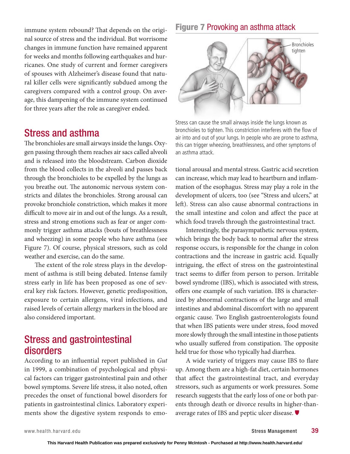immune system rebound? That depends on the original source of stress and the individual. But worrisome changes in immune function have remained apparent for weeks and months following earthquakes and hurricanes. One study of current and former caregivers of spouses with Alzheimer's disease found that natural killer cells were significantly subdued among the caregivers compared with a control group. On average, this dampening of the immune system continued for three years after the role as caregiver ended.

# Stress and asthma

The bronchioles are small airways inside the lungs. Oxygen passing through them reaches air sacs called alveoli and is released into the bloodstream. Carbon dioxide from the blood collects in the alveoli and passes back through the bronchioles to be expelled by the lungs as you breathe out. The autonomic nervous system constricts and dilates the bronchioles. Strong arousal can provoke bronchiole constriction, which makes it more difficult to move air in and out of the lungs. As a result, stress and strong emotions such as fear or anger commonly trigger asthma attacks (bouts of breathlessness and wheezing) in some people who have asthma (see Figure 7). Of course, physical stressors, such as cold weather and exercise, can do the same.

The extent of the role stress plays in the development of asthma is still being debated. Intense family stress early in life has been proposed as one of several key risk factors. However, genetic predisposition, exposure to certain allergens, viral infections, and raised levels of certain allergy markers in the blood are also considered important.

# Stress and gastrointestinal disorders

According to an influential report published in *Gut* in 1999, a combination of psychological and physical factors can trigger gastrointestinal pain and other bowel symptoms. Severe life stress, it also noted, often precedes the onset of functional bowel disorders for patients in gastrointestinal clinics. Laboratory experiments show the digestive system responds to emo-

#### Figure 7 Provoking an asthma attack



Stress can cause the small airways inside the lungs known as bronchioles to tighten. This constriction interferes with the flow of air into and out of your lungs. In people who are prone to asthma, this can trigger wheezing, breathlessness, and other symptoms of an asthma attack.

tional arousal and mental stress. Gastric acid secretion can increase, which may lead to heartburn and inflammation of the esophagus. Stress may play a role in the development of ulcers, too (see "Stress and ulcers," at left). Stress can also cause abnormal contractions in the small intestine and colon and affect the pace at which food travels through the gastrointestinal tract.

Interestingly, the parasympathetic nervous system, which brings the body back to normal after the stress response occurs, is responsible for the change in colon contractions and the increase in gastric acid. Equally intriguing, the effect of stress on the gastrointestinal tract seems to differ from person to person. Irritable bowel syndrome (IBS), which is associated with stress, offers one example of such variation. IBS is characterized by abnormal contractions of the large and small intestines and abdominal discomfort with no apparent organic cause. Two English gastroenterologists found that when IBS patients were under stress, food moved more slowly through the small intestine in those patients who usually suffered from constipation. The opposite held true for those who typically had diarrhea.

A wide variety of triggers may cause IBS to flare up. Among them are a high-fat diet, certain hormones that affect the gastrointestinal tract, and everyday stressors, such as arguments or work pressures. Some research suggests that the early loss of one or both parents through death or divorce results in higher-thanaverage rates of IBS and peptic ulcer disease.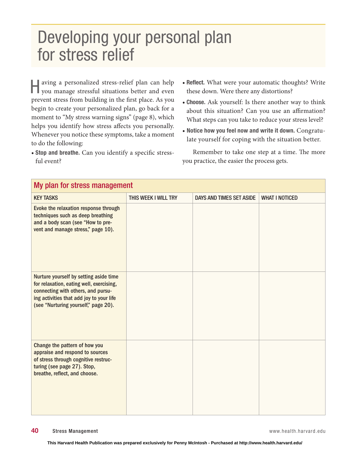# Developing your personal plan for stress relief

aving a personalized stress-relief plan can help you manage stressful situations better and even prevent stress from building in the first place. As you begin to create your personalized plan, go back for a moment to "My stress warning signs" (page 8), which helps you identify how stress affects you personally. Whenever you notice these symptoms, take a moment to do the following:

**•** Stop and breathe. Can you identify a specific stressful event?

- Reflect. What were your automatic thoughts? Write these down. Were there any distortions?
- Choose. Ask yourself: Is there another way to think about this situation? Can you use an affirmation? What steps can you take to reduce your stress level?
- Notice how you feel now and write it down. Congratulate yourself for coping with the situation better.

Remember to take one step at a time. The more you practice, the easier the process gets.

| My plan for stress management                                                                                                                                                                                |                      |                                 |                       |  |
|--------------------------------------------------------------------------------------------------------------------------------------------------------------------------------------------------------------|----------------------|---------------------------------|-----------------------|--|
| <b>KEY TASKS</b>                                                                                                                                                                                             | THIS WEEK I WILL TRY | <b>DAYS AND TIMES SET ASIDE</b> | <b>WHAT I NOTICED</b> |  |
| Evoke the relaxation response through<br>techniques such as deep breathing<br>and a body scan (see "How to pre-<br>vent and manage stress," page 10).                                                        |                      |                                 |                       |  |
| Nurture yourself by setting aside time<br>for relaxation, eating well, exercising,<br>connecting with others, and pursu-<br>ing activities that add joy to your life<br>(see "Nurturing yourself," page 20). |                      |                                 |                       |  |
| Change the pattern of how you<br>appraise and respond to sources<br>of stress through cognitive restruc-<br>turing (see page 27). Stop,<br>breathe, reflect, and choose.                                     |                      |                                 |                       |  |

#### **40** Stress Management www.health.harvard.edu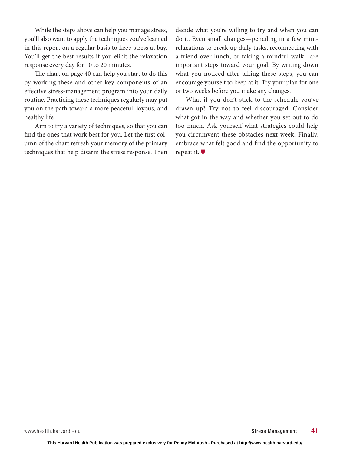While the steps above can help you manage stress, you'll also want to apply the techniques you've learned in this report on a regular basis to keep stress at bay. You'll get the best results if you elicit the relaxation response every day for 10 to 20 minutes.

The chart on page 40 can help you start to do this by working these and other key components of an effective stress-management program into your daily routine. Practicing these techniques regularly may put you on the path toward a more peaceful, joyous, and healthy life.

Aim to try a variety of techniques, so that you can find the ones that work best for you. Let the first column of the chart refresh your memory of the primary techniques that help disarm the stress response. Then

decide what you're willing to try and when you can do it. Even small changes—penciling in a few minirelaxations to break up daily tasks, reconnecting with a friend over lunch, or taking a mindful walk—are important steps toward your goal. By writing down what you noticed after taking these steps, you can encourage yourself to keep at it. Try your plan for one or two weeks before you make any changes.

What if you don't stick to the schedule you've drawn up? Try not to feel discouraged. Consider what got in the way and whether you set out to do too much. Ask yourself what strategies could help you circumvent these obstacles next week. Finally, embrace what felt good and find the opportunity to repeat it.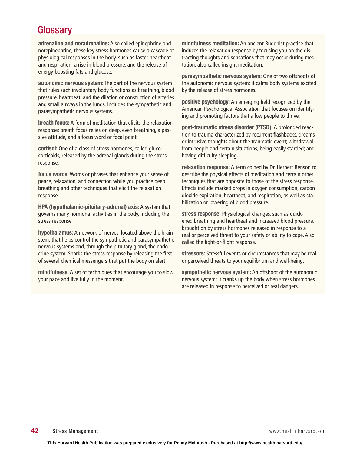# **Glossary**

adrenaline and noradrenaline: Also called epinephrine and norepinephrine, these key stress hormones cause a cascade of physiological responses in the body, such as faster heartbeat and respiration, a rise in blood pressure, and the release of energy-boosting fats and glucose.

autonomic nervous system: The part of the nervous system that rules such involuntary body functions as breathing, blood pressure, heartbeat, and the dilation or constriction of arteries and small airways in the lungs. Includes the sympathetic and parasympathetic nervous systems.

breath focus: A form of meditation that elicits the relaxation response; breath focus relies on deep, even breathing, a passive attitude, and a focus word or focal point.

cortisol: One of a class of stress hormones, called glucocorticoids, released by the adrenal glands during the stress response.

focus words: Words or phrases that enhance your sense of peace, relaxation, and connection while you practice deep breathing and other techniques that elicit the relaxation response.

HPA (hypothalamic-pituitary-adrenal) axis: A system that governs many hormonal activities in the body, including the stress response.

hypothalamus: A network of nerves, located above the brain stem, that helps control the sympathetic and parasympathetic nervous systems and, through the pituitary gland, the endocrine system. Sparks the stress response by releasing the first of several chemical messengers that put the body on alert.

mindfulness: A set of techniques that encourage you to slow your pace and live fully in the moment.

mindfulness meditation: An ancient Buddhist practice that induces the relaxation response by focusing you on the distracting thoughts and sensations that may occur during meditation; also called insight meditation.

parasympathetic nervous system: One of two offshoots of the autonomic nervous system; it calms body systems excited by the release of stress hormones.

positive psychology: An emerging field recognized by the American Psychological Association that focuses on identifying and promoting factors that allow people to thrive.

post-traumatic stress disorder (PTSD): A prolonged reaction to trauma characterized by recurrent flashbacks, dreams, or intrusive thoughts about the traumatic event; withdrawal from people and certain situations; being easily startled; and having difficulty sleeping.

relaxation response: A term coined by Dr. Herbert Benson to describe the physical effects of meditation and certain other techniques that are opposite to those of the stress response. Effects include marked drops in oxygen consumption, carbon dioxide expiration, heartbeat, and respiration, as well as stabilization or lowering of blood pressure.

stress response: Physiological changes, such as quickened breathing and heartbeat and increased blood pressure, brought on by stress hormones released in response to a real or perceived threat to your safety or ability to cope. Also called the fight-or-flight response.

stressors: Stressful events or circumstances that may be real or perceived threats to your equilibrium and well-being.

sympathetic nervous system: An offshoot of the autonomic nervous system; it cranks up the body when stress hormones are released in response to perceived or real dangers.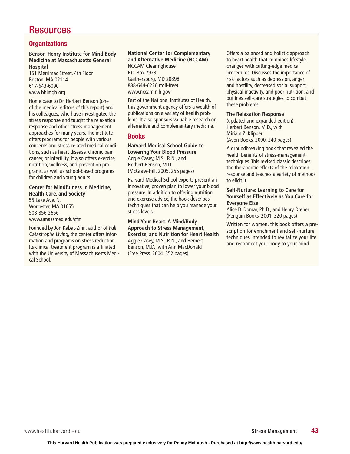# Resources

#### **Organizations**

**Benson-Henry Institute for Mind Body Medicine at Massachusetts General Hospital**

151 Merrimac Street, 4th Floor Boston, MA 02114 617-643-6090 www.bhimgh.org

Home base to Dr. Herbert Benson (one of the medical editors of this report) and his colleagues, who have investigated the stress response and taught the relaxation response and other stress-management approaches for many years. The institute offers programs for people with various concerns and stress-related medical conditions, such as heart disease, chronic pain, cancer, or infertility. It also offers exercise, nutrition, wellness, and prevention programs, as well as school-based programs for children and young adults.

**Center for Mindfulness in Medicine, Health Care, and Society**  55 Lake Ave. N. Worcester, MA 01655 508-856-2656 www.umassmed.edu/cfm

Founded by Jon Kabat-Zinn, author of Full Catastrophe Living, the center offers information and programs on stress reduction. Its clinical treatment program is affiliated with the University of Massachusetts Medical School.

#### **National Center for Complementary and Alternative Medicine (NCCAM)**

NCCAM Clearinghouse P.O. Box 7923 Gaithersburg, MD 20898 888-644-6226 (toll-free) www.nccam.nih.gov

Part of the National Institutes of Health, this government agency offers a wealth of publications on a variety of health problems. It also sponsors valuable research on alternative and complementary medicine.

#### Books

#### **Harvard Medical School Guide to Lowering Your Blood Pressure** Aggie Casey, M.S., R.N., and Herbert Benson, M.D.

(McGraw-Hill, 2005, 256 pages)

Harvard Medical School experts present an innovative, proven plan to lower your blood pressure. In addition to offering nutrition and exercise advice, the book describes techniques that can help you manage your stress levels.

**Mind Your Heart: A Mind/Body Approach to Stress Management, Exercise, and Nutrition for Heart Health** Aggie Casey, M.S., R.N., and Herbert Benson, M.D., with Ann MacDonald (Free Press, 2004, 352 pages)

Offers a balanced and holistic approach to heart health that combines lifestyle changes with cutting-edge medical procedures. Discusses the importance of risk factors such as depression, anger and hostility, decreased social support, physical inactivity, and poor nutrition, and outlines self-care strategies to combat these problems.

#### **The Relaxation Response**

(updated and expanded edition) Herbert Benson, M.D., with Miriam Z. Klipper (Avon Books, 2000, 240 pages)

A groundbreaking book that revealed the health benefits of stress-management techniques. This revised classic describes the therapeutic effects of the relaxation response and teaches a variety of methods to elicit it.

#### **Self-Nurture: Learning to Care for Yourself as Effectively as You Care for Everyone Else**

Alice D. Domar, Ph.D., and Henry Dreher (Penguin Books, 2001, 320 pages)

Written for women, this book offers a prescription for enrichment and self-nurture techniques intended to revitalize your life and reconnect your body to your mind.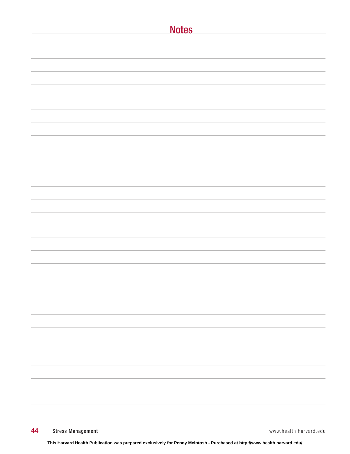| <b>Notes</b> |
|--------------|
|              |
|              |
|              |
|              |
|              |
|              |
|              |
|              |
|              |
|              |
|              |
|              |
|              |
|              |
|              |
|              |
|              |
|              |
|              |
|              |
|              |
|              |
|              |
|              |
|              |
|              |
|              |
|              |
|              |
|              |
|              |
|              |
|              |
|              |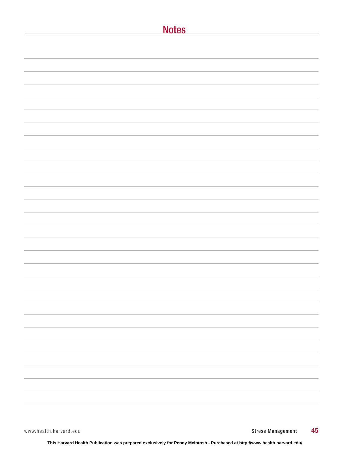| <b>Notes</b> |
|--------------|
|              |
|              |
|              |
|              |
|              |
|              |
|              |
|              |
|              |
|              |
|              |
|              |
|              |
|              |
|              |
|              |
|              |
|              |
|              |
|              |
|              |
|              |
|              |
|              |
|              |
|              |
|              |
|              |